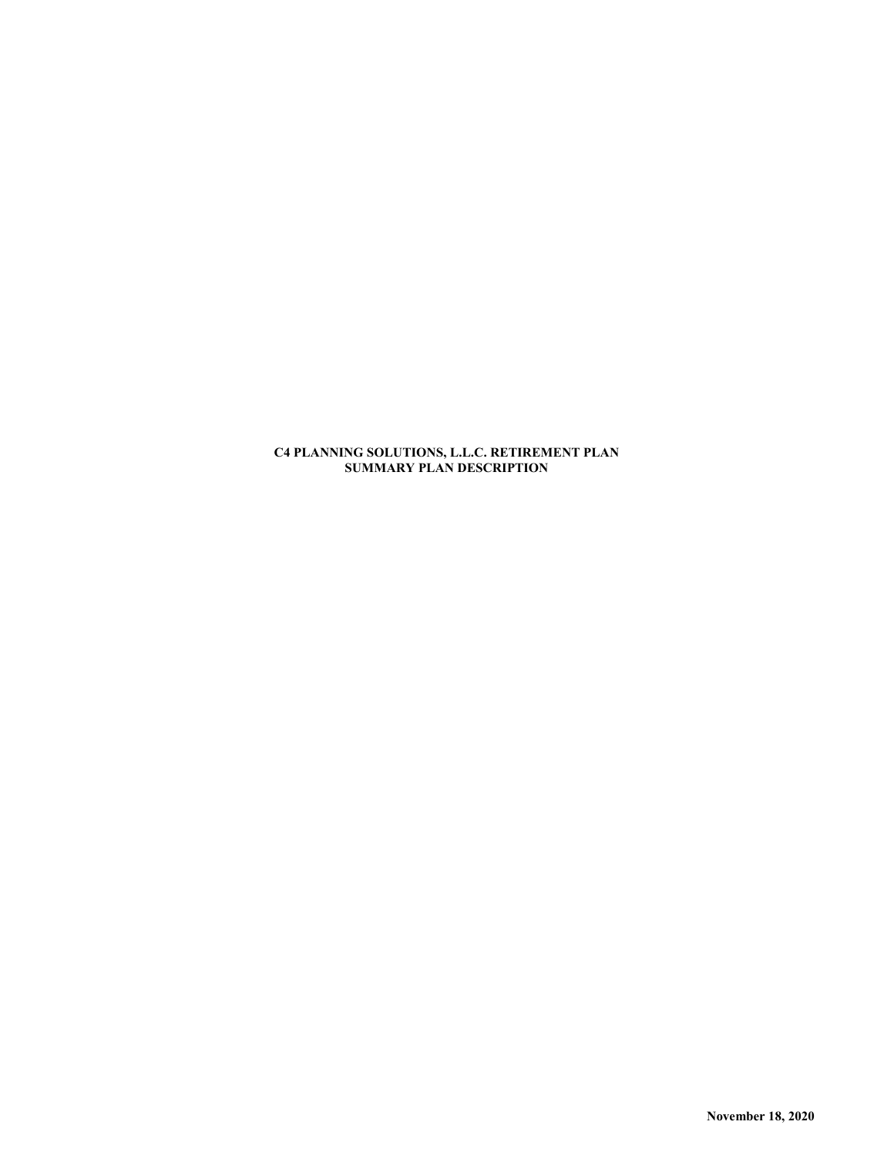**C4 PLANNING SOLUTIONS, L.L.C. RETIREMENT PLAN SUMMARY PLAN DESCRIPTION**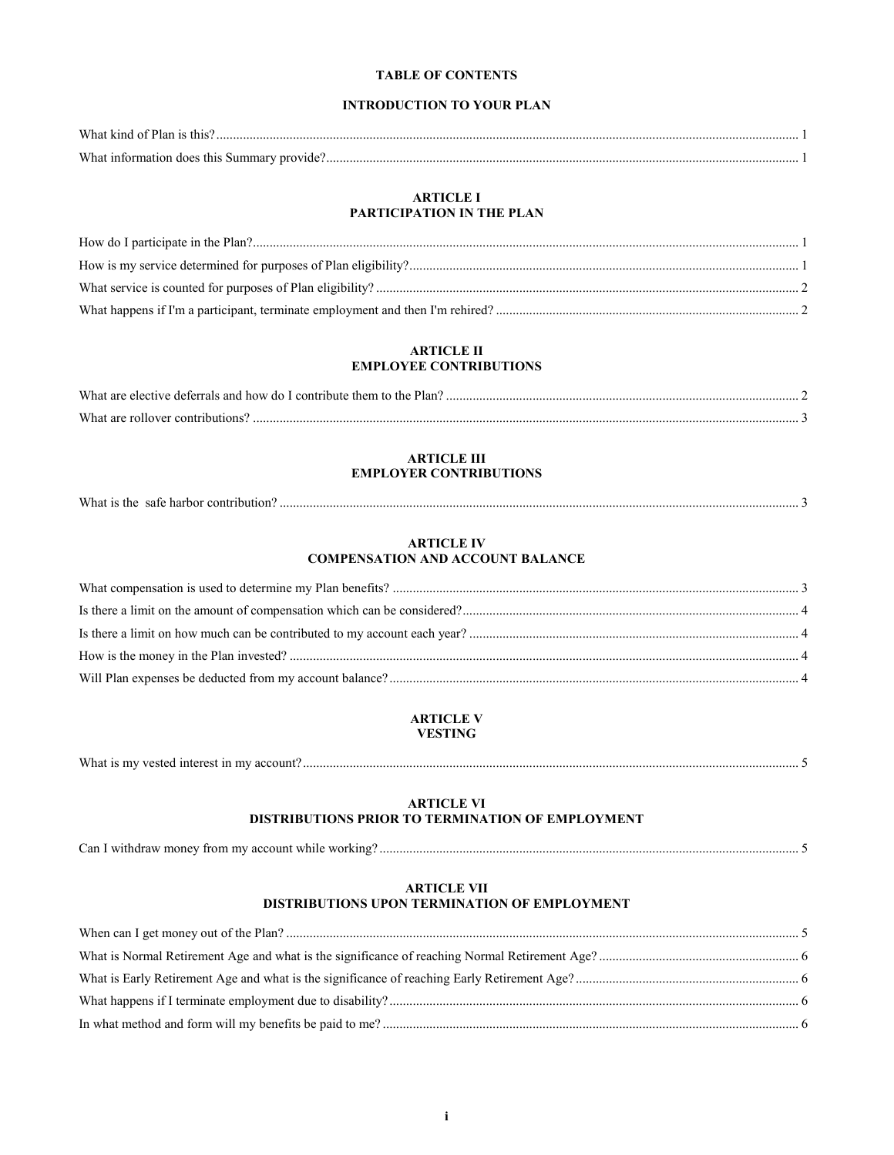# **TABLE OF CONTENTS**

# **INTRODUCTION TO YOUR PLAN**

| W <sub>hot</sub> |  |
|------------------|--|
| W <sub>hot</sub> |  |

## **ARTICLE I PARTICIPATION IN THE PLAN**

# **ARTICLE II EMPLOYEE CONTRIBUTIONS**

| What are<br>Lcontribute them to th<br>tive deferrals and how do I<br>''lan<br>ne<br>electi |  |
|--------------------------------------------------------------------------------------------|--|
| What are                                                                                   |  |

# **ARTICLE III EMPLOYER CONTRIBUTIONS**

| What is the<br>sate harbor contribution. |
|------------------------------------------|
|------------------------------------------|

#### **ARTICLE IV COMPENSATION AND ACCOUNT BALANCE**

# **ARTICLE V VESTING**

|  | What is my vested interest in my | ' account' |  |
|--|----------------------------------|------------|--|
|--|----------------------------------|------------|--|

# **ARTICLE VI DISTRIBUTIONS PRIOR TO TERMINATION OF EMPLOYMENT**

Can I withdraw money from my account while working? .............................................................................................................................. 5

#### **ARTICLE VII DISTRIBUTIONS UPON TERMINATION OF EMPLOYMENT**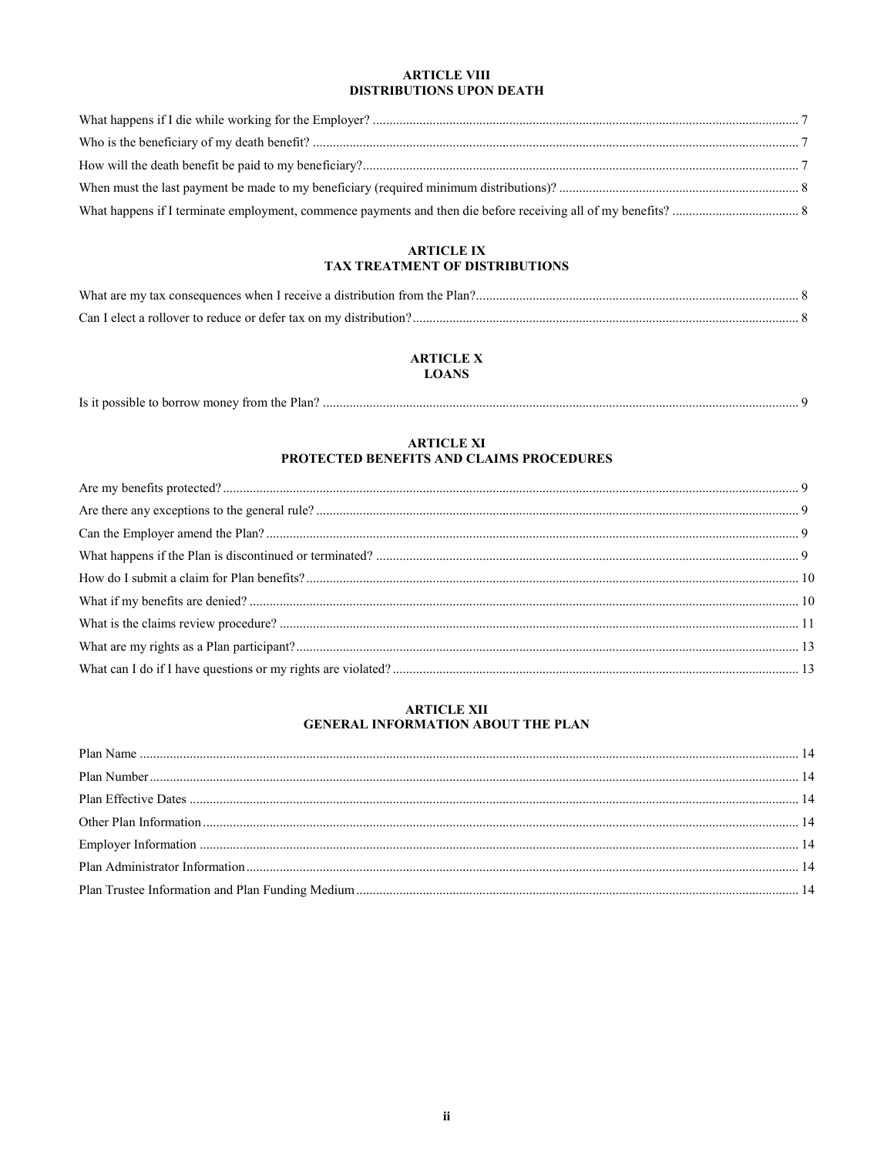# **ARTICLE VIII** DISTRIBUTIONS UPON DEATH

# **ARTICLE IX** TAX TREATMENT OF DISTRIBUTIONS

# **ARTICLE X LOANS**

| Is it possible to borrow money from the Plan? |  |
|-----------------------------------------------|--|
|-----------------------------------------------|--|

# ARTICLE XI<br>PROTECTED BENEFITS AND CLAIMS PROCEDURES

# ARTICLE XII<br>GENERAL INFORMATION ABOUT THE PLAN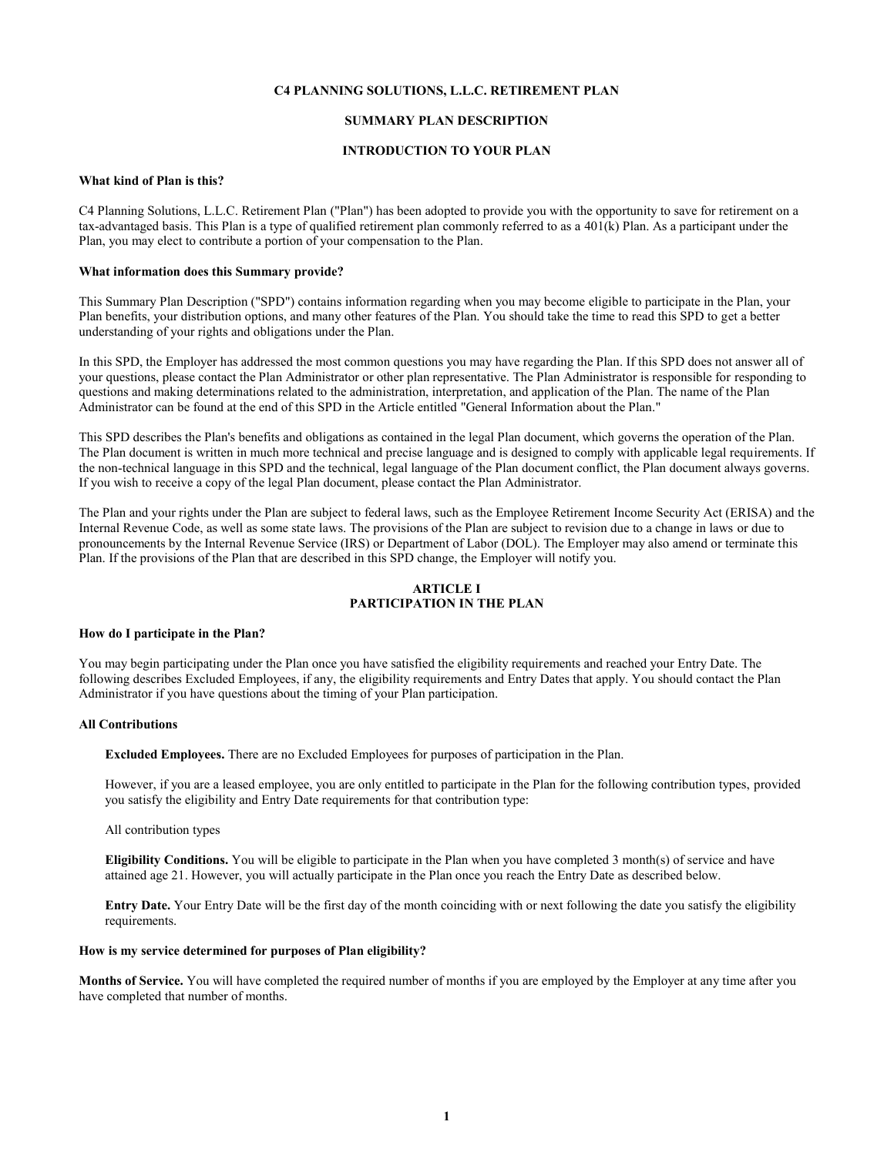#### **C4 PLANNING SOLUTIONS, L.L.C. RETIREMENT PLAN**

## **SUMMARY PLAN DESCRIPTION**

#### **INTRODUCTION TO YOUR PLAN**

## **What kind of Plan is this?**

C4 Planning Solutions, L.L.C. Retirement Plan ("Plan") has been adopted to provide you with the opportunity to save for retirement on a tax-advantaged basis. This Plan is a type of qualified retirement plan commonly referred to as a 401(k) Plan. As a participant under the Plan, you may elect to contribute a portion of your compensation to the Plan.

#### **What information does this Summary provide?**

This Summary Plan Description ("SPD") contains information regarding when you may become eligible to participate in the Plan, your Plan benefits, your distribution options, and many other features of the Plan. You should take the time to read this SPD to get a better understanding of your rights and obligations under the Plan.

In this SPD, the Employer has addressed the most common questions you may have regarding the Plan. If this SPD does not answer all of your questions, please contact the Plan Administrator or other plan representative. The Plan Administrator is responsible for responding to questions and making determinations related to the administration, interpretation, and application of the Plan. The name of the Plan Administrator can be found at the end of this SPD in the Article entitled "General Information about the Plan."

This SPD describes the Plan's benefits and obligations as contained in the legal Plan document, which governs the operation of the Plan. The Plan document is written in much more technical and precise language and is designed to comply with applicable legal requirements. If the non-technical language in this SPD and the technical, legal language of the Plan document conflict, the Plan document always governs. If you wish to receive a copy of the legal Plan document, please contact the Plan Administrator.

The Plan and your rights under the Plan are subject to federal laws, such as the Employee Retirement Income Security Act (ERISA) and the Internal Revenue Code, as well as some state laws. The provisions of the Plan are subject to revision due to a change in laws or due to pronouncements by the Internal Revenue Service (IRS) or Department of Labor (DOL). The Employer may also amend or terminate this Plan. If the provisions of the Plan that are described in this SPD change, the Employer will notify you.

#### **ARTICLE I PARTICIPATION IN THE PLAN**

#### **How do I participate in the Plan?**

You may begin participating under the Plan once you have satisfied the eligibility requirements and reached your Entry Date. The following describes Excluded Employees, if any, the eligibility requirements and Entry Dates that apply. You should contact the Plan Administrator if you have questions about the timing of your Plan participation.

#### **All Contributions**

**Excluded Employees.** There are no Excluded Employees for purposes of participation in the Plan.

However, if you are a leased employee, you are only entitled to participate in the Plan for the following contribution types, provided you satisfy the eligibility and Entry Date requirements for that contribution type:

#### All contribution types

**Eligibility Conditions.** You will be eligible to participate in the Plan when you have completed 3 month(s) of service and have attained age 21. However, you will actually participate in the Plan once you reach the Entry Date as described below.

**Entry Date.** Your Entry Date will be the first day of the month coinciding with or next following the date you satisfy the eligibility requirements.

#### **How is my service determined for purposes of Plan eligibility?**

**Months of Service.** You will have completed the required number of months if you are employed by the Employer at any time after you have completed that number of months.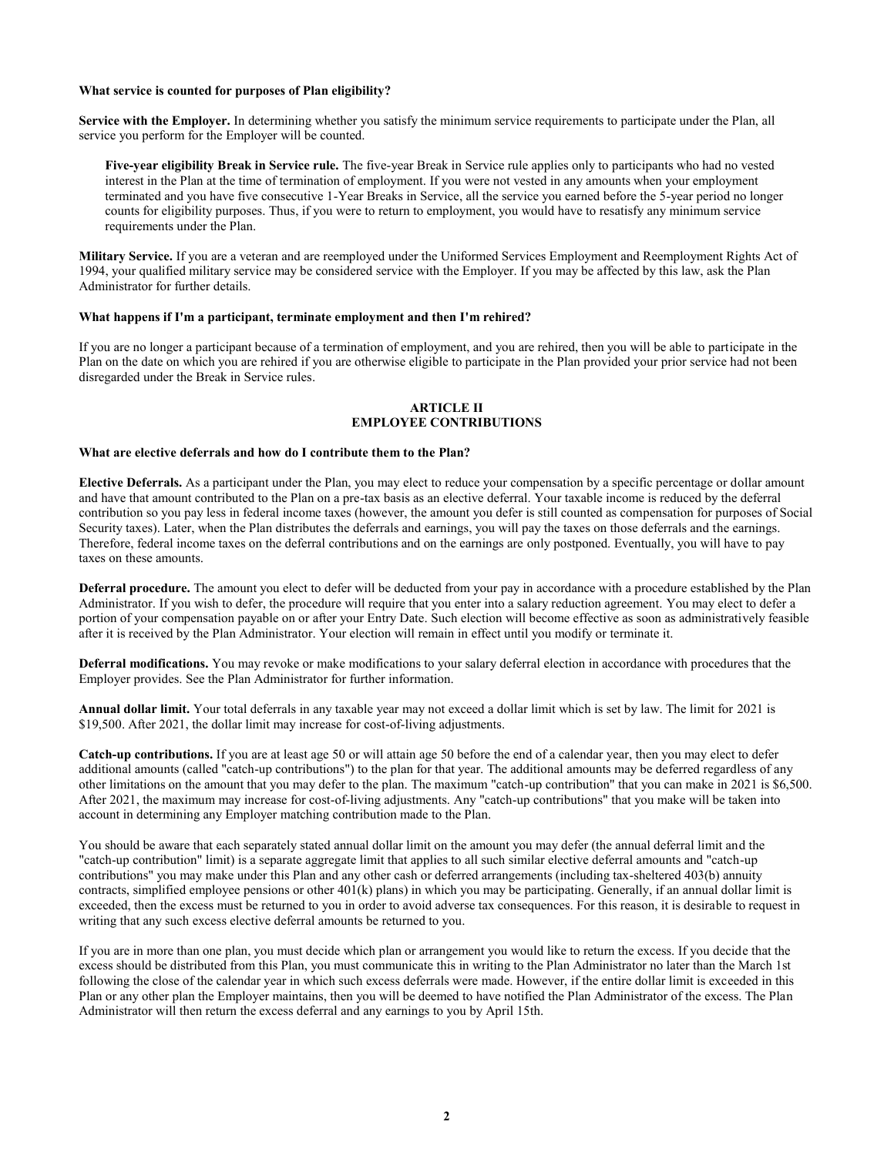#### **What service is counted for purposes of Plan eligibility?**

**Service with the Employer.** In determining whether you satisfy the minimum service requirements to participate under the Plan, all service you perform for the Employer will be counted.

**Five-year eligibility Break in Service rule.** The five-year Break in Service rule applies only to participants who had no vested interest in the Plan at the time of termination of employment. If you were not vested in any amounts when your employment terminated and you have five consecutive 1-Year Breaks in Service, all the service you earned before the 5-year period no longer counts for eligibility purposes. Thus, if you were to return to employment, you would have to resatisfy any minimum service requirements under the Plan.

**Military Service.** If you are a veteran and are reemployed under the Uniformed Services Employment and Reemployment Rights Act of 1994, your qualified military service may be considered service with the Employer. If you may be affected by this law, ask the Plan Administrator for further details.

## **What happens if I'm a participant, terminate employment and then I'm rehired?**

If you are no longer a participant because of a termination of employment, and you are rehired, then you will be able to participate in the Plan on the date on which you are rehired if you are otherwise eligible to participate in the Plan provided your prior service had not been disregarded under the Break in Service rules.

# **ARTICLE II EMPLOYEE CONTRIBUTIONS**

#### **What are elective deferrals and how do I contribute them to the Plan?**

**Elective Deferrals.** As a participant under the Plan, you may elect to reduce your compensation by a specific percentage or dollar amount and have that amount contributed to the Plan on a pre-tax basis as an elective deferral. Your taxable income is reduced by the deferral contribution so you pay less in federal income taxes (however, the amount you defer is still counted as compensation for purposes of Social Security taxes). Later, when the Plan distributes the deferrals and earnings, you will pay the taxes on those deferrals and the earnings. Therefore, federal income taxes on the deferral contributions and on the earnings are only postponed. Eventually, you will have to pay taxes on these amounts.

**Deferral procedure.** The amount you elect to defer will be deducted from your pay in accordance with a procedure established by the Plan Administrator. If you wish to defer, the procedure will require that you enter into a salary reduction agreement. You may elect to defer a portion of your compensation payable on or after your Entry Date. Such election will become effective as soon as administratively feasible after it is received by the Plan Administrator. Your election will remain in effect until you modify or terminate it.

**Deferral modifications.** You may revoke or make modifications to your salary deferral election in accordance with procedures that the Employer provides. See the Plan Administrator for further information.

**Annual dollar limit.** Your total deferrals in any taxable year may not exceed a dollar limit which is set by law. The limit for 2021 is \$19,500. After 2021, the dollar limit may increase for cost-of-living adjustments.

**Catch-up contributions.** If you are at least age 50 or will attain age 50 before the end of a calendar year, then you may elect to defer additional amounts (called "catch-up contributions") to the plan for that year. The additional amounts may be deferred regardless of any other limitations on the amount that you may defer to the plan. The maximum "catch-up contribution" that you can make in 2021 is \$6,500. After 2021, the maximum may increase for cost-of-living adjustments. Any "catch-up contributions" that you make will be taken into account in determining any Employer matching contribution made to the Plan.

You should be aware that each separately stated annual dollar limit on the amount you may defer (the annual deferral limit and the "catch-up contribution" limit) is a separate aggregate limit that applies to all such similar elective deferral amounts and "catch-up contributions" you may make under this Plan and any other cash or deferred arrangements (including tax-sheltered 403(b) annuity contracts, simplified employee pensions or other 401(k) plans) in which you may be participating. Generally, if an annual dollar limit is exceeded, then the excess must be returned to you in order to avoid adverse tax consequences. For this reason, it is desirable to request in writing that any such excess elective deferral amounts be returned to you.

If you are in more than one plan, you must decide which plan or arrangement you would like to return the excess. If you decide that the excess should be distributed from this Plan, you must communicate this in writing to the Plan Administrator no later than the March 1st following the close of the calendar year in which such excess deferrals were made. However, if the entire dollar limit is exceeded in this Plan or any other plan the Employer maintains, then you will be deemed to have notified the Plan Administrator of the excess. The Plan Administrator will then return the excess deferral and any earnings to you by April 15th.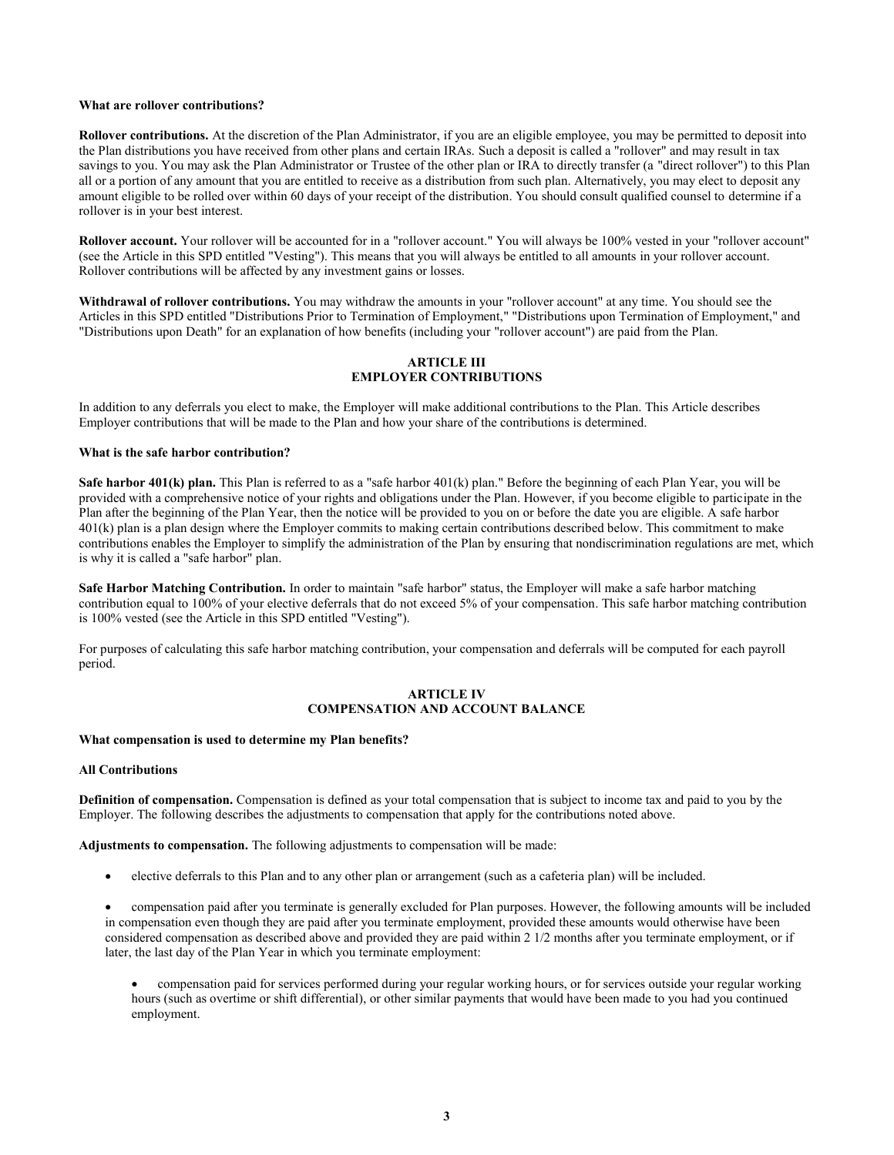#### **What are rollover contributions?**

**Rollover contributions.** At the discretion of the Plan Administrator, if you are an eligible employee, you may be permitted to deposit into the Plan distributions you have received from other plans and certain IRAs. Such a deposit is called a "rollover" and may result in tax savings to you. You may ask the Plan Administrator or Trustee of the other plan or IRA to directly transfer (a "direct rollover") to this Plan all or a portion of any amount that you are entitled to receive as a distribution from such plan. Alternatively, you may elect to deposit any amount eligible to be rolled over within 60 days of your receipt of the distribution. You should consult qualified counsel to determine if a rollover is in your best interest.

**Rollover account.** Your rollover will be accounted for in a "rollover account." You will always be 100% vested in your "rollover account" (see the Article in this SPD entitled "Vesting"). This means that you will always be entitled to all amounts in your rollover account. Rollover contributions will be affected by any investment gains or losses.

**Withdrawal of rollover contributions.** You may withdraw the amounts in your "rollover account" at any time. You should see the Articles in this SPD entitled "Distributions Prior to Termination of Employment," "Distributions upon Termination of Employment," and "Distributions upon Death" for an explanation of how benefits (including your "rollover account") are paid from the Plan.

# **ARTICLE III EMPLOYER CONTRIBUTIONS**

In addition to any deferrals you elect to make, the Employer will make additional contributions to the Plan. This Article describes Employer contributions that will be made to the Plan and how your share of the contributions is determined.

#### **What is the safe harbor contribution?**

**Safe harbor 401(k) plan.** This Plan is referred to as a "safe harbor 401(k) plan." Before the beginning of each Plan Year, you will be provided with a comprehensive notice of your rights and obligations under the Plan. However, if you become eligible to participate in the Plan after the beginning of the Plan Year, then the notice will be provided to you on or before the date you are eligible. A safe harbor 401(k) plan is a plan design where the Employer commits to making certain contributions described below. This commitment to make contributions enables the Employer to simplify the administration of the Plan by ensuring that nondiscrimination regulations are met, which is why it is called a "safe harbor" plan.

**Safe Harbor Matching Contribution.** In order to maintain "safe harbor" status, the Employer will make a safe harbor matching contribution equal to 100% of your elective deferrals that do not exceed 5% of your compensation. This safe harbor matching contribution is 100% vested (see the Article in this SPD entitled "Vesting").

For purposes of calculating this safe harbor matching contribution, your compensation and deferrals will be computed for each payroll period.

## **ARTICLE IV COMPENSATION AND ACCOUNT BALANCE**

#### **What compensation is used to determine my Plan benefits?**

## **All Contributions**

**Definition of compensation.** Compensation is defined as your total compensation that is subject to income tax and paid to you by the Employer. The following describes the adjustments to compensation that apply for the contributions noted above.

**Adjustments to compensation.** The following adjustments to compensation will be made:

elective deferrals to this Plan and to any other plan or arrangement (such as a cafeteria plan) will be included.

 compensation paid after you terminate is generally excluded for Plan purposes. However, the following amounts will be included in compensation even though they are paid after you terminate employment, provided these amounts would otherwise have been considered compensation as described above and provided they are paid within 2 1/2 months after you terminate employment, or if later, the last day of the Plan Year in which you terminate employment:

 compensation paid for services performed during your regular working hours, or for services outside your regular working hours (such as overtime or shift differential), or other similar payments that would have been made to you had you continued employment.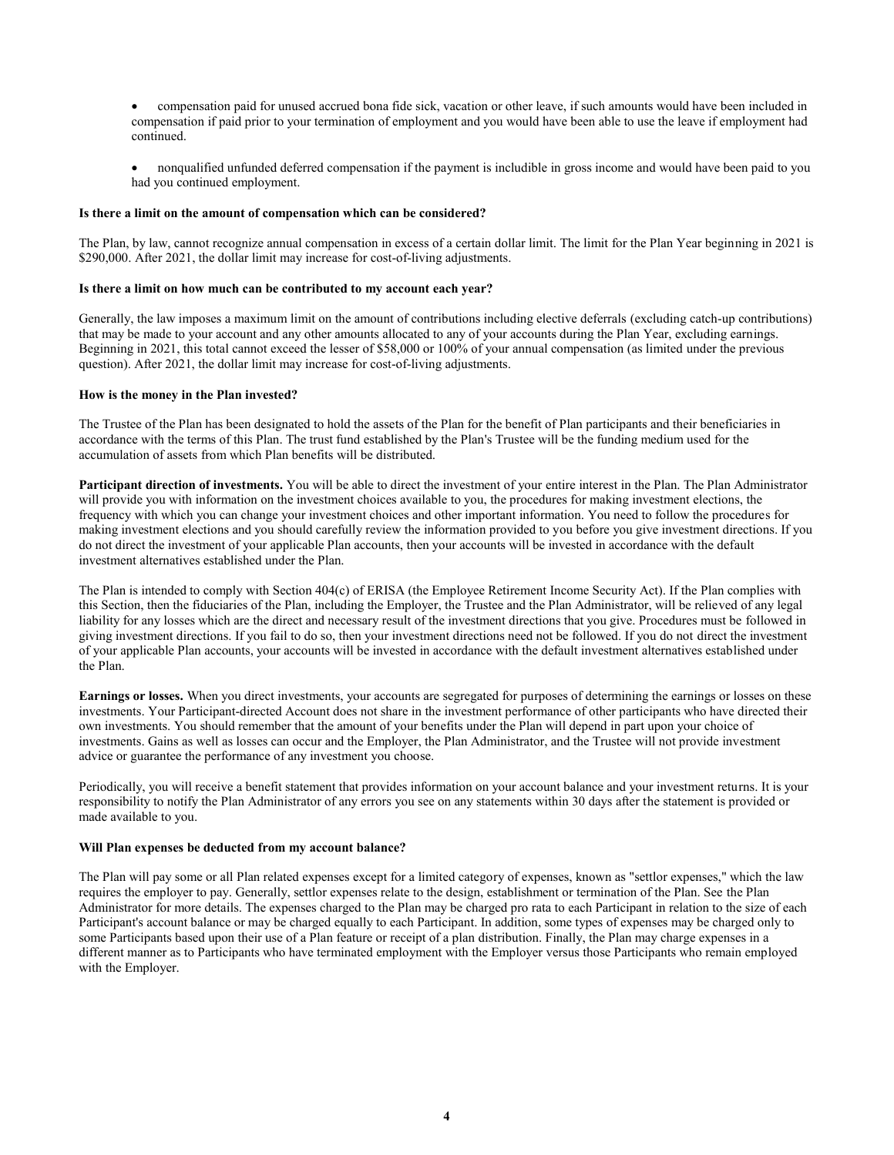compensation paid for unused accrued bona fide sick, vacation or other leave, if such amounts would have been included in compensation if paid prior to your termination of employment and you would have been able to use the leave if employment had continued.

 nonqualified unfunded deferred compensation if the payment is includible in gross income and would have been paid to you had you continued employment.

## **Is there a limit on the amount of compensation which can be considered?**

The Plan, by law, cannot recognize annual compensation in excess of a certain dollar limit. The limit for the Plan Year beginning in 2021 is \$290,000. After 2021, the dollar limit may increase for cost-of-living adjustments.

## **Is there a limit on how much can be contributed to my account each year?**

Generally, the law imposes a maximum limit on the amount of contributions including elective deferrals (excluding catch-up contributions) that may be made to your account and any other amounts allocated to any of your accounts during the Plan Year, excluding earnings. Beginning in 2021, this total cannot exceed the lesser of \$58,000 or 100% of your annual compensation (as limited under the previous question). After 2021, the dollar limit may increase for cost-of-living adjustments.

## **How is the money in the Plan invested?**

The Trustee of the Plan has been designated to hold the assets of the Plan for the benefit of Plan participants and their beneficiaries in accordance with the terms of this Plan. The trust fund established by the Plan's Trustee will be the funding medium used for the accumulation of assets from which Plan benefits will be distributed.

**Participant direction of investments.** You will be able to direct the investment of your entire interest in the Plan. The Plan Administrator will provide you with information on the investment choices available to you, the procedures for making investment elections, the frequency with which you can change your investment choices and other important information. You need to follow the procedures for making investment elections and you should carefully review the information provided to you before you give investment directions. If you do not direct the investment of your applicable Plan accounts, then your accounts will be invested in accordance with the default investment alternatives established under the Plan.

The Plan is intended to comply with Section 404(c) of ERISA (the Employee Retirement Income Security Act). If the Plan complies with this Section, then the fiduciaries of the Plan, including the Employer, the Trustee and the Plan Administrator, will be relieved of any legal liability for any losses which are the direct and necessary result of the investment directions that you give. Procedures must be followed in giving investment directions. If you fail to do so, then your investment directions need not be followed. If you do not direct the investment of your applicable Plan accounts, your accounts will be invested in accordance with the default investment alternatives established under the Plan.

**Earnings or losses.** When you direct investments, your accounts are segregated for purposes of determining the earnings or losses on these investments. Your Participant-directed Account does not share in the investment performance of other participants who have directed their own investments. You should remember that the amount of your benefits under the Plan will depend in part upon your choice of investments. Gains as well as losses can occur and the Employer, the Plan Administrator, and the Trustee will not provide investment advice or guarantee the performance of any investment you choose.

Periodically, you will receive a benefit statement that provides information on your account balance and your investment returns. It is your responsibility to notify the Plan Administrator of any errors you see on any statements within 30 days after the statement is provided or made available to you.

### **Will Plan expenses be deducted from my account balance?**

The Plan will pay some or all Plan related expenses except for a limited category of expenses, known as "settlor expenses," which the law requires the employer to pay. Generally, settlor expenses relate to the design, establishment or termination of the Plan. See the Plan Administrator for more details. The expenses charged to the Plan may be charged pro rata to each Participant in relation to the size of each Participant's account balance or may be charged equally to each Participant. In addition, some types of expenses may be charged only to some Participants based upon their use of a Plan feature or receipt of a plan distribution. Finally, the Plan may charge expenses in a different manner as to Participants who have terminated employment with the Employer versus those Participants who remain employed with the Employer.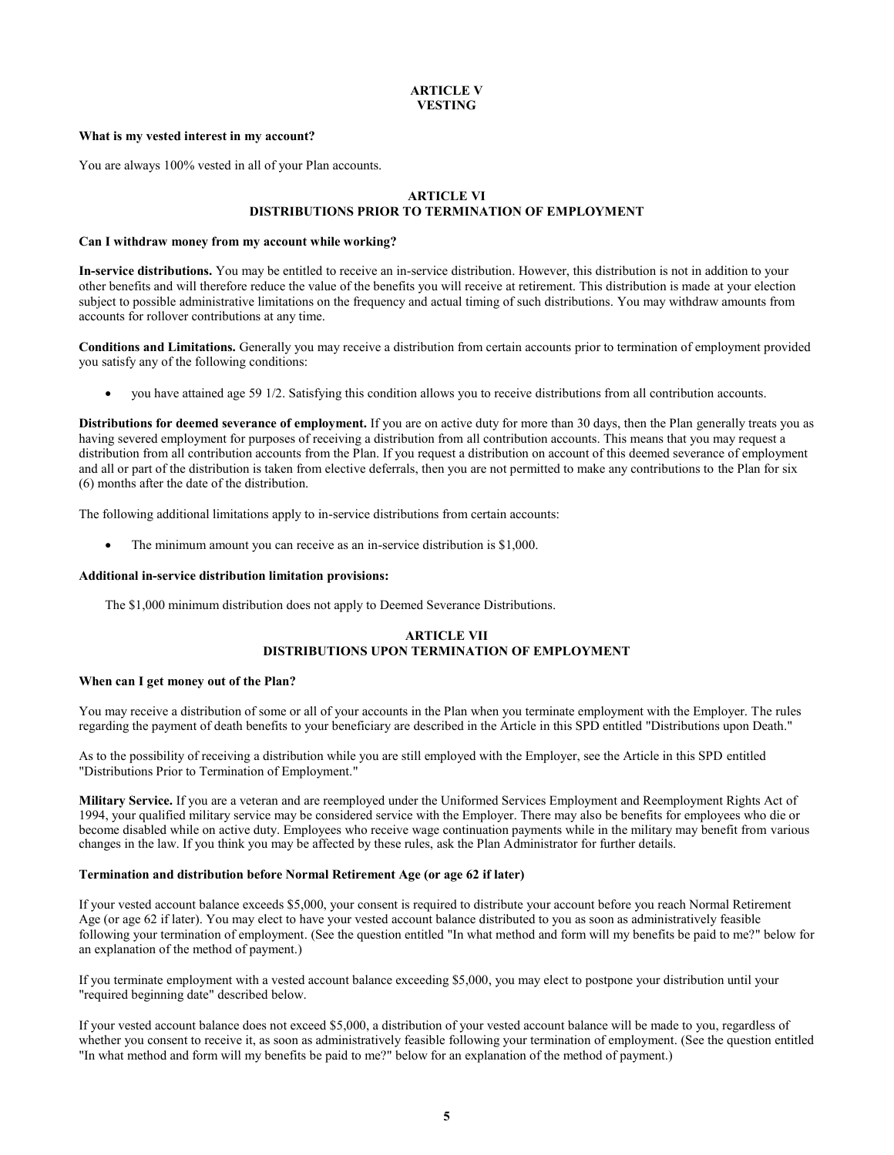# **ARTICLE V VESTING**

#### **What is my vested interest in my account?**

You are always 100% vested in all of your Plan accounts.

## **ARTICLE VI DISTRIBUTIONS PRIOR TO TERMINATION OF EMPLOYMENT**

#### **Can I withdraw money from my account while working?**

**In-service distributions.** You may be entitled to receive an in-service distribution. However, this distribution is not in addition to your other benefits and will therefore reduce the value of the benefits you will receive at retirement. This distribution is made at your election subject to possible administrative limitations on the frequency and actual timing of such distributions. You may withdraw amounts from accounts for rollover contributions at any time.

**Conditions and Limitations.** Generally you may receive a distribution from certain accounts prior to termination of employment provided you satisfy any of the following conditions:

you have attained age 59 1/2. Satisfying this condition allows you to receive distributions from all contribution accounts.

**Distributions for deemed severance of employment.** If you are on active duty for more than 30 days, then the Plan generally treats you as having severed employment for purposes of receiving a distribution from all contribution accounts. This means that you may request a distribution from all contribution accounts from the Plan. If you request a distribution on account of this deemed severance of employment and all or part of the distribution is taken from elective deferrals, then you are not permitted to make any contributions to the Plan for six (6) months after the date of the distribution.

The following additional limitations apply to in-service distributions from certain accounts:

The minimum amount you can receive as an in-service distribution is \$1,000.

#### **Additional in-service distribution limitation provisions:**

The \$1,000 minimum distribution does not apply to Deemed Severance Distributions.

# **ARTICLE VII DISTRIBUTIONS UPON TERMINATION OF EMPLOYMENT**

#### **When can I get money out of the Plan?**

You may receive a distribution of some or all of your accounts in the Plan when you terminate employment with the Employer. The rules regarding the payment of death benefits to your beneficiary are described in the Article in this SPD entitled "Distributions upon Death."

As to the possibility of receiving a distribution while you are still employed with the Employer, see the Article in this SPD entitled "Distributions Prior to Termination of Employment."

**Military Service.** If you are a veteran and are reemployed under the Uniformed Services Employment and Reemployment Rights Act of 1994, your qualified military service may be considered service with the Employer. There may also be benefits for employees who die or become disabled while on active duty. Employees who receive wage continuation payments while in the military may benefit from various changes in the law. If you think you may be affected by these rules, ask the Plan Administrator for further details.

#### **Termination and distribution before Normal Retirement Age (or age 62 if later)**

If your vested account balance exceeds \$5,000, your consent is required to distribute your account before you reach Normal Retirement Age (or age 62 if later). You may elect to have your vested account balance distributed to you as soon as administratively feasible following your termination of employment. (See the question entitled "In what method and form will my benefits be paid to me?" below for an explanation of the method of payment.)

If you terminate employment with a vested account balance exceeding \$5,000, you may elect to postpone your distribution until your "required beginning date" described below.

If your vested account balance does not exceed \$5,000, a distribution of your vested account balance will be made to you, regardless of whether you consent to receive it, as soon as administratively feasible following your termination of employment. (See the question entitled "In what method and form will my benefits be paid to me?" below for an explanation of the method of payment.)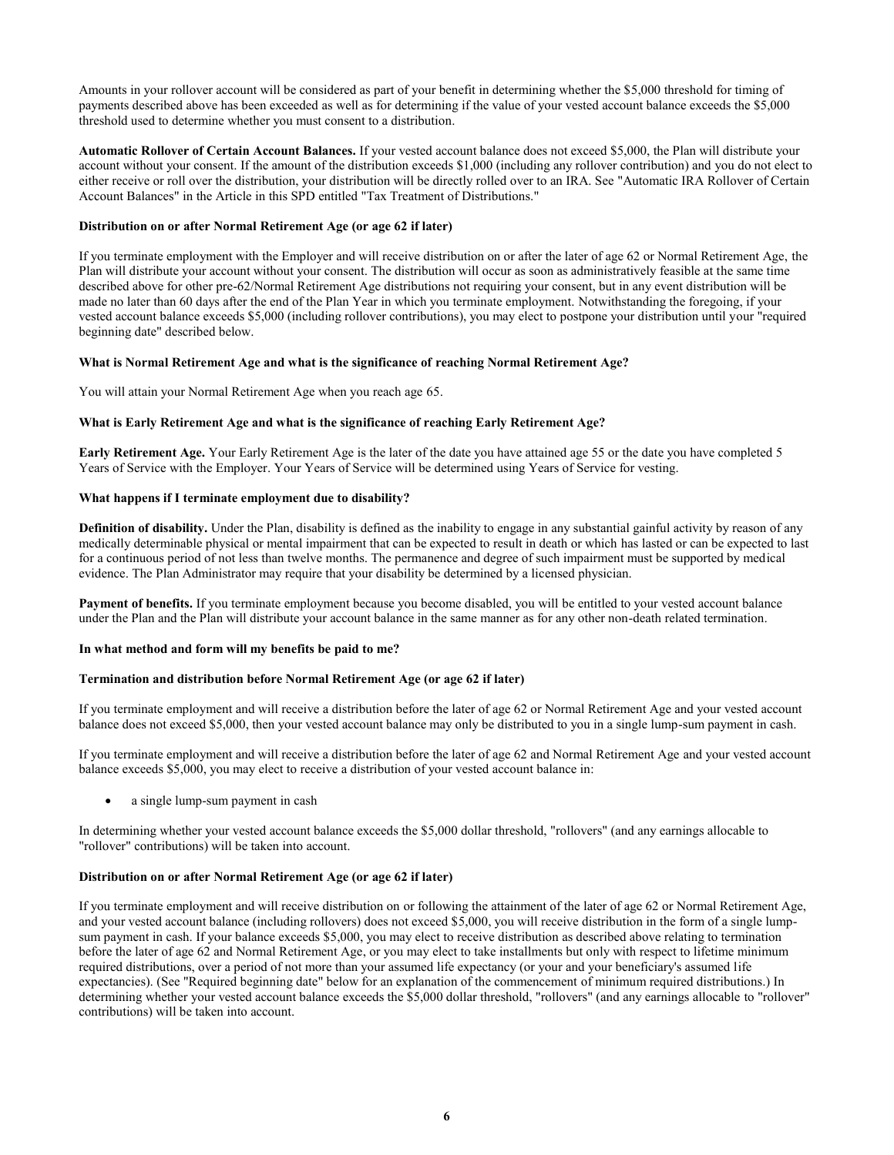Amounts in your rollover account will be considered as part of your benefit in determining whether the \$5,000 threshold for timing of payments described above has been exceeded as well as for determining if the value of your vested account balance exceeds the \$5,000 threshold used to determine whether you must consent to a distribution.

**Automatic Rollover of Certain Account Balances.** If your vested account balance does not exceed \$5,000, the Plan will distribute your account without your consent. If the amount of the distribution exceeds \$1,000 (including any rollover contribution) and you do not elect to either receive or roll over the distribution, your distribution will be directly rolled over to an IRA. See "Automatic IRA Rollover of Certain Account Balances" in the Article in this SPD entitled "Tax Treatment of Distributions."

## **Distribution on or after Normal Retirement Age (or age 62 if later)**

If you terminate employment with the Employer and will receive distribution on or after the later of age 62 or Normal Retirement Age, the Plan will distribute your account without your consent. The distribution will occur as soon as administratively feasible at the same time described above for other pre-62/Normal Retirement Age distributions not requiring your consent, but in any event distribution will be made no later than 60 days after the end of the Plan Year in which you terminate employment. Notwithstanding the foregoing, if your vested account balance exceeds \$5,000 (including rollover contributions), you may elect to postpone your distribution until your "required beginning date" described below.

# **What is Normal Retirement Age and what is the significance of reaching Normal Retirement Age?**

You will attain your Normal Retirement Age when you reach age 65.

# **What is Early Retirement Age and what is the significance of reaching Early Retirement Age?**

**Early Retirement Age.** Your Early Retirement Age is the later of the date you have attained age 55 or the date you have completed 5 Years of Service with the Employer. Your Years of Service will be determined using Years of Service for vesting.

# **What happens if I terminate employment due to disability?**

**Definition of disability.** Under the Plan, disability is defined as the inability to engage in any substantial gainful activity by reason of any medically determinable physical or mental impairment that can be expected to result in death or which has lasted or can be expected to last for a continuous period of not less than twelve months. The permanence and degree of such impairment must be supported by medical evidence. The Plan Administrator may require that your disability be determined by a licensed physician.

**Payment of benefits.** If you terminate employment because you become disabled, you will be entitled to your vested account balance under the Plan and the Plan will distribute your account balance in the same manner as for any other non-death related termination.

### **In what method and form will my benefits be paid to me?**

### **Termination and distribution before Normal Retirement Age (or age 62 if later)**

If you terminate employment and will receive a distribution before the later of age 62 or Normal Retirement Age and your vested account balance does not exceed \$5,000, then your vested account balance may only be distributed to you in a single lump-sum payment in cash.

If you terminate employment and will receive a distribution before the later of age 62 and Normal Retirement Age and your vested account balance exceeds \$5,000, you may elect to receive a distribution of your vested account balance in:

a single lump-sum payment in cash

In determining whether your vested account balance exceeds the \$5,000 dollar threshold, "rollovers" (and any earnings allocable to "rollover" contributions) will be taken into account.

### **Distribution on or after Normal Retirement Age (or age 62 if later)**

If you terminate employment and will receive distribution on or following the attainment of the later of age 62 or Normal Retirement Age, and your vested account balance (including rollovers) does not exceed \$5,000, you will receive distribution in the form of a single lumpsum payment in cash. If your balance exceeds \$5,000, you may elect to receive distribution as described above relating to termination before the later of age 62 and Normal Retirement Age, or you may elect to take installments but only with respect to lifetime minimum required distributions, over a period of not more than your assumed life expectancy (or your and your beneficiary's assumed life expectancies). (See "Required beginning date" below for an explanation of the commencement of minimum required distributions.) In determining whether your vested account balance exceeds the \$5,000 dollar threshold, "rollovers" (and any earnings allocable to "rollover" contributions) will be taken into account.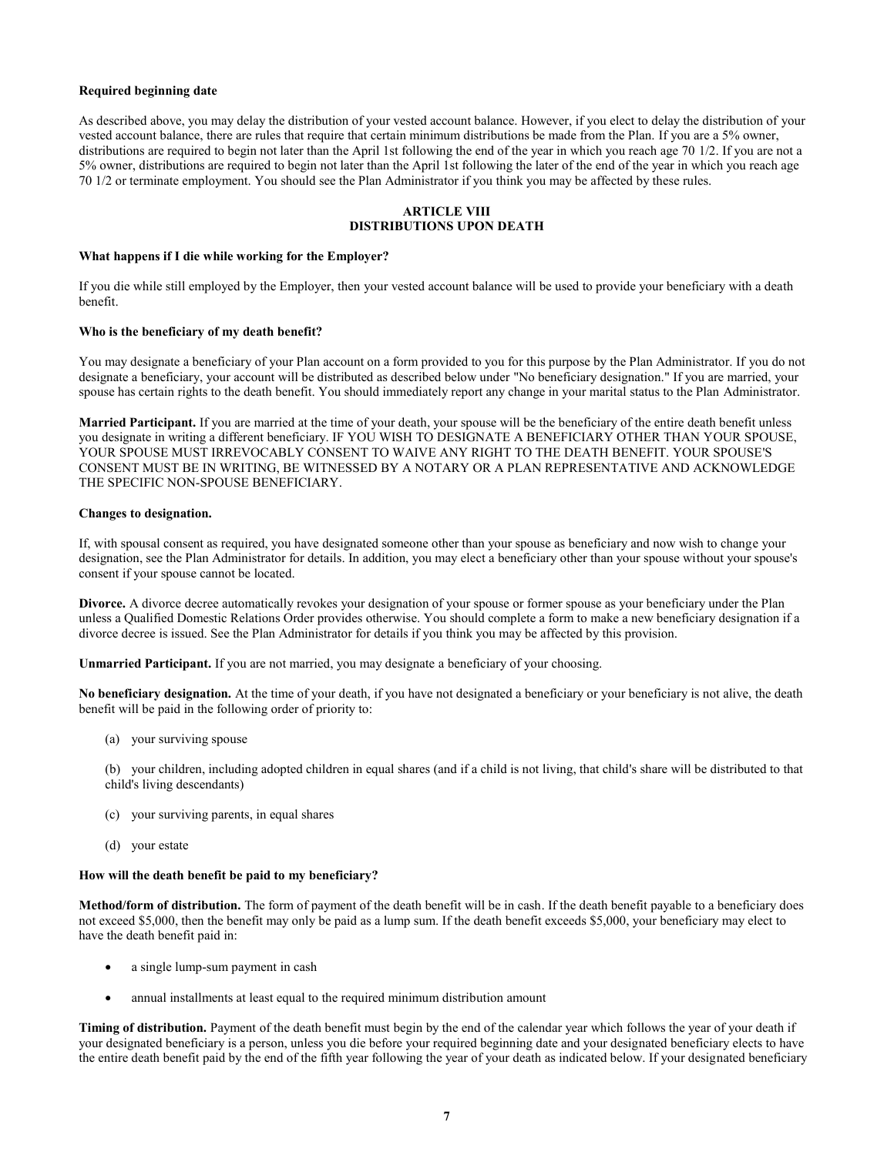### **Required beginning date**

As described above, you may delay the distribution of your vested account balance. However, if you elect to delay the distribution of your vested account balance, there are rules that require that certain minimum distributions be made from the Plan. If you are a 5% owner, distributions are required to begin not later than the April 1st following the end of the year in which you reach age 70 1/2. If you are not a 5% owner, distributions are required to begin not later than the April 1st following the later of the end of the year in which you reach age 70 1/2 or terminate employment. You should see the Plan Administrator if you think you may be affected by these rules.

## **ARTICLE VIII DISTRIBUTIONS UPON DEATH**

#### **What happens if I die while working for the Employer?**

If you die while still employed by the Employer, then your vested account balance will be used to provide your beneficiary with a death benefit.

### **Who is the beneficiary of my death benefit?**

You may designate a beneficiary of your Plan account on a form provided to you for this purpose by the Plan Administrator. If you do not designate a beneficiary, your account will be distributed as described below under "No beneficiary designation." If you are married, your spouse has certain rights to the death benefit. You should immediately report any change in your marital status to the Plan Administrator.

**Married Participant.** If you are married at the time of your death, your spouse will be the beneficiary of the entire death benefit unless you designate in writing a different beneficiary. IF YOU WISH TO DESIGNATE A BENEFICIARY OTHER THAN YOUR SPOUSE, YOUR SPOUSE MUST IRREVOCABLY CONSENT TO WAIVE ANY RIGHT TO THE DEATH BENEFIT. YOUR SPOUSE'S CONSENT MUST BE IN WRITING, BE WITNESSED BY A NOTARY OR A PLAN REPRESENTATIVE AND ACKNOWLEDGE THE SPECIFIC NON-SPOUSE BENEFICIARY.

### **Changes to designation.**

If, with spousal consent as required, you have designated someone other than your spouse as beneficiary and now wish to change your designation, see the Plan Administrator for details. In addition, you may elect a beneficiary other than your spouse without your spouse's consent if your spouse cannot be located.

**Divorce.** A divorce decree automatically revokes your designation of your spouse or former spouse as your beneficiary under the Plan unless a Qualified Domestic Relations Order provides otherwise. You should complete a form to make a new beneficiary designation if a divorce decree is issued. See the Plan Administrator for details if you think you may be affected by this provision.

**Unmarried Participant.** If you are not married, you may designate a beneficiary of your choosing.

No beneficiary designation. At the time of your death, if you have not designated a beneficiary or your beneficiary is not alive, the death benefit will be paid in the following order of priority to:

(a) your surviving spouse

(b) your children, including adopted children in equal shares (and if a child is not living, that child's share will be distributed to that child's living descendants)

- (c) your surviving parents, in equal shares
- (d) your estate

# **How will the death benefit be paid to my beneficiary?**

**Method/form of distribution.** The form of payment of the death benefit will be in cash. If the death benefit payable to a beneficiary does not exceed \$5,000, then the benefit may only be paid as a lump sum. If the death benefit exceeds \$5,000, your beneficiary may elect to have the death benefit paid in:

- a single lump-sum payment in cash
- annual installments at least equal to the required minimum distribution amount

**Timing of distribution.** Payment of the death benefit must begin by the end of the calendar year which follows the year of your death if your designated beneficiary is a person, unless you die before your required beginning date and your designated beneficiary elects to have the entire death benefit paid by the end of the fifth year following the year of your death as indicated below. If your designated beneficiary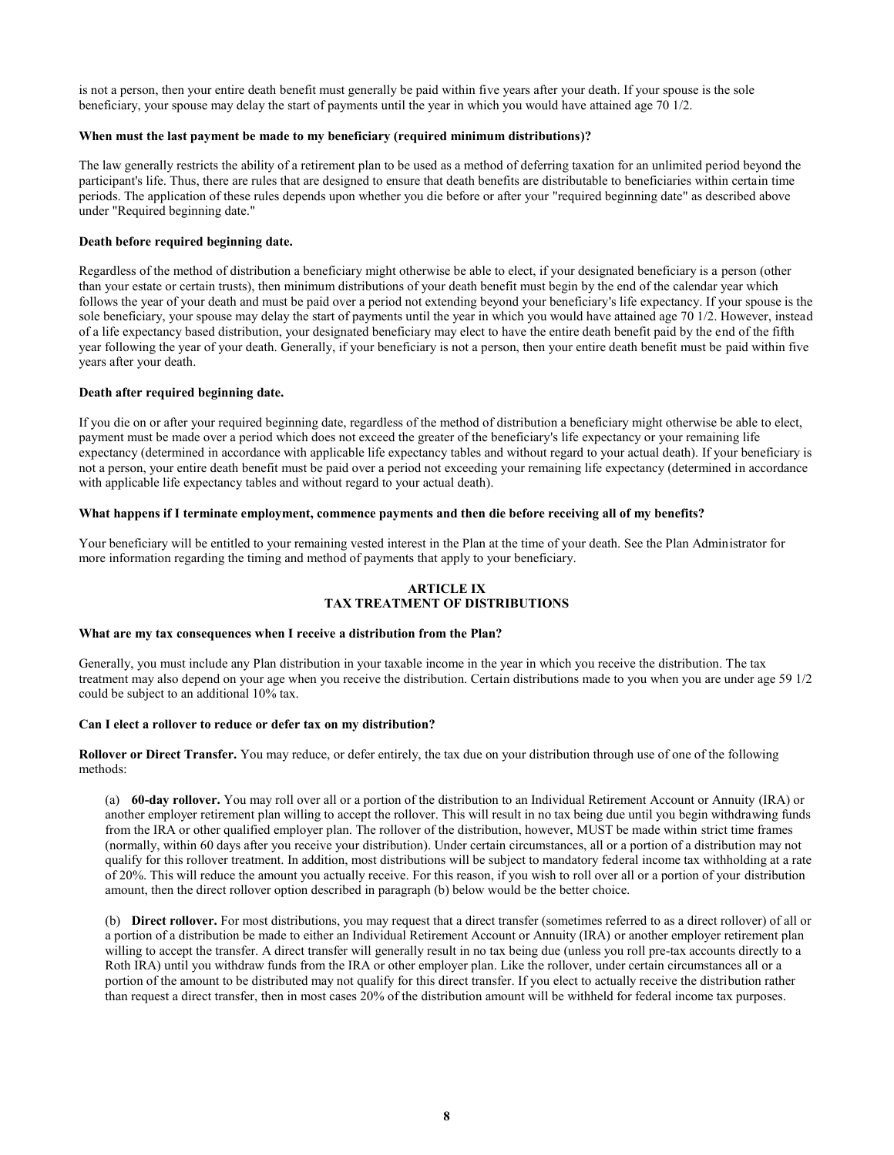is not a person, then your entire death benefit must generally be paid within five years after your death. If your spouse is the sole beneficiary, your spouse may delay the start of payments until the year in which you would have attained age 70 1/2.

#### **When must the last payment be made to my beneficiary (required minimum distributions)?**

The law generally restricts the ability of a retirement plan to be used as a method of deferring taxation for an unlimited period beyond the participant's life. Thus, there are rules that are designed to ensure that death benefits are distributable to beneficiaries within certain time periods. The application of these rules depends upon whether you die before or after your "required beginning date" as described above under "Required beginning date."

## **Death before required beginning date.**

Regardless of the method of distribution a beneficiary might otherwise be able to elect, if your designated beneficiary is a person (other than your estate or certain trusts), then minimum distributions of your death benefit must begin by the end of the calendar year which follows the year of your death and must be paid over a period not extending beyond your beneficiary's life expectancy. If your spouse is the sole beneficiary, your spouse may delay the start of payments until the year in which you would have attained age 70 1/2. However, instead of a life expectancy based distribution, your designated beneficiary may elect to have the entire death benefit paid by the end of the fifth year following the year of your death. Generally, if your beneficiary is not a person, then your entire death benefit must be paid within five years after your death.

#### **Death after required beginning date.**

If you die on or after your required beginning date, regardless of the method of distribution a beneficiary might otherwise be able to elect, payment must be made over a period which does not exceed the greater of the beneficiary's life expectancy or your remaining life expectancy (determined in accordance with applicable life expectancy tables and without regard to your actual death). If your beneficiary is not a person, your entire death benefit must be paid over a period not exceeding your remaining life expectancy (determined in accordance with applicable life expectancy tables and without regard to your actual death).

## **What happens if I terminate employment, commence payments and then die before receiving all of my benefits?**

Your beneficiary will be entitled to your remaining vested interest in the Plan at the time of your death. See the Plan Administrator for more information regarding the timing and method of payments that apply to your beneficiary.

## **ARTICLE IX TAX TREATMENT OF DISTRIBUTIONS**

#### **What are my tax consequences when I receive a distribution from the Plan?**

Generally, you must include any Plan distribution in your taxable income in the year in which you receive the distribution. The tax treatment may also depend on your age when you receive the distribution. Certain distributions made to you when you are under age 59 1/2 could be subject to an additional 10% tax.

#### **Can I elect a rollover to reduce or defer tax on my distribution?**

**Rollover or Direct Transfer.** You may reduce, or defer entirely, the tax due on your distribution through use of one of the following methods:

(a) **60-day rollover.** You may roll over all or a portion of the distribution to an Individual Retirement Account or Annuity (IRA) or another employer retirement plan willing to accept the rollover. This will result in no tax being due until you begin withdrawing funds from the IRA or other qualified employer plan. The rollover of the distribution, however, MUST be made within strict time frames (normally, within 60 days after you receive your distribution). Under certain circumstances, all or a portion of a distribution may not qualify for this rollover treatment. In addition, most distributions will be subject to mandatory federal income tax withholding at a rate of 20%. This will reduce the amount you actually receive. For this reason, if you wish to roll over all or a portion of your distribution amount, then the direct rollover option described in paragraph (b) below would be the better choice.

(b) **Direct rollover.** For most distributions, you may request that a direct transfer (sometimes referred to as a direct rollover) of all or a portion of a distribution be made to either an Individual Retirement Account or Annuity (IRA) or another employer retirement plan willing to accept the transfer. A direct transfer will generally result in no tax being due (unless you roll pre-tax accounts directly to a Roth IRA) until you withdraw funds from the IRA or other employer plan. Like the rollover, under certain circumstances all or a portion of the amount to be distributed may not qualify for this direct transfer. If you elect to actually receive the distribution rather than request a direct transfer, then in most cases 20% of the distribution amount will be withheld for federal income tax purposes.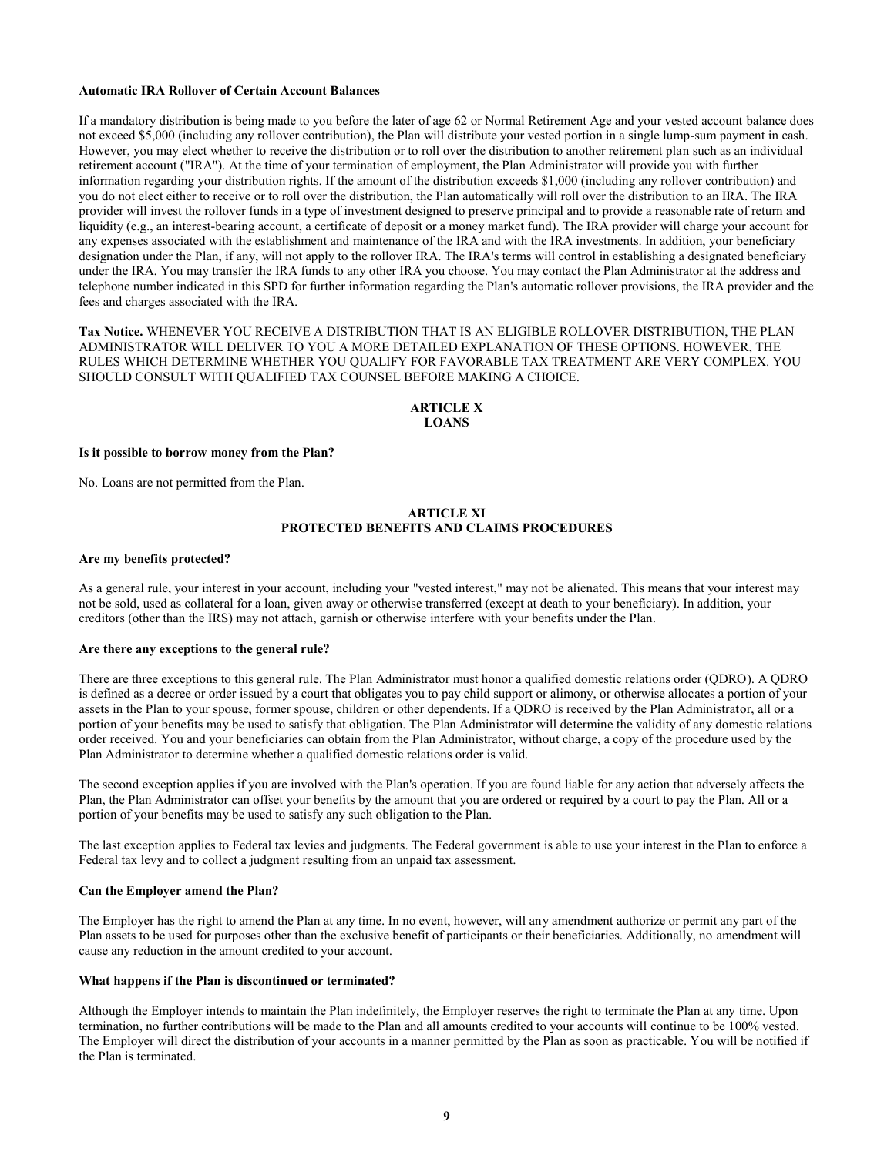#### **Automatic IRA Rollover of Certain Account Balances**

If a mandatory distribution is being made to you before the later of age 62 or Normal Retirement Age and your vested account balance does not exceed \$5,000 (including any rollover contribution), the Plan will distribute your vested portion in a single lump-sum payment in cash. However, you may elect whether to receive the distribution or to roll over the distribution to another retirement plan such as an individual retirement account ("IRA"). At the time of your termination of employment, the Plan Administrator will provide you with further information regarding your distribution rights. If the amount of the distribution exceeds \$1,000 (including any rollover contribution) and you do not elect either to receive or to roll over the distribution, the Plan automatically will roll over the distribution to an IRA. The IRA provider will invest the rollover funds in a type of investment designed to preserve principal and to provide a reasonable rate of return and liquidity (e.g., an interest-bearing account, a certificate of deposit or a money market fund). The IRA provider will charge your account for any expenses associated with the establishment and maintenance of the IRA and with the IRA investments. In addition, your beneficiary designation under the Plan, if any, will not apply to the rollover IRA. The IRA's terms will control in establishing a designated beneficiary under the IRA. You may transfer the IRA funds to any other IRA you choose. You may contact the Plan Administrator at the address and telephone number indicated in this SPD for further information regarding the Plan's automatic rollover provisions, the IRA provider and the fees and charges associated with the IRA.

# **Tax Notice.** WHENEVER YOU RECEIVE A DISTRIBUTION THAT IS AN ELIGIBLE ROLLOVER DISTRIBUTION, THE PLAN ADMINISTRATOR WILL DELIVER TO YOU A MORE DETAILED EXPLANATION OF THESE OPTIONS. HOWEVER, THE RULES WHICH DETERMINE WHETHER YOU QUALIFY FOR FAVORABLE TAX TREATMENT ARE VERY COMPLEX. YOU SHOULD CONSULT WITH QUALIFIED TAX COUNSEL BEFORE MAKING A CHOICE.

#### **ARTICLE X LOANS**

#### **Is it possible to borrow money from the Plan?**

No. Loans are not permitted from the Plan.

# **ARTICLE XI PROTECTED BENEFITS AND CLAIMS PROCEDURES**

#### **Are my benefits protected?**

As a general rule, your interest in your account, including your "vested interest," may not be alienated. This means that your interest may not be sold, used as collateral for a loan, given away or otherwise transferred (except at death to your beneficiary). In addition, your creditors (other than the IRS) may not attach, garnish or otherwise interfere with your benefits under the Plan.

#### **Are there any exceptions to the general rule?**

There are three exceptions to this general rule. The Plan Administrator must honor a qualified domestic relations order (QDRO). A QDRO is defined as a decree or order issued by a court that obligates you to pay child support or alimony, or otherwise allocates a portion of your assets in the Plan to your spouse, former spouse, children or other dependents. If a QDRO is received by the Plan Administrator, all or a portion of your benefits may be used to satisfy that obligation. The Plan Administrator will determine the validity of any domestic relations order received. You and your beneficiaries can obtain from the Plan Administrator, without charge, a copy of the procedure used by the Plan Administrator to determine whether a qualified domestic relations order is valid.

The second exception applies if you are involved with the Plan's operation. If you are found liable for any action that adversely affects the Plan, the Plan Administrator can offset your benefits by the amount that you are ordered or required by a court to pay the Plan. All or a portion of your benefits may be used to satisfy any such obligation to the Plan.

The last exception applies to Federal tax levies and judgments. The Federal government is able to use your interest in the Plan to enforce a Federal tax levy and to collect a judgment resulting from an unpaid tax assessment.

#### **Can the Employer amend the Plan?**

The Employer has the right to amend the Plan at any time. In no event, however, will any amendment authorize or permit any part of the Plan assets to be used for purposes other than the exclusive benefit of participants or their beneficiaries. Additionally, no amendment will cause any reduction in the amount credited to your account.

#### **What happens if the Plan is discontinued or terminated?**

Although the Employer intends to maintain the Plan indefinitely, the Employer reserves the right to terminate the Plan at any time. Upon termination, no further contributions will be made to the Plan and all amounts credited to your accounts will continue to be 100% vested. The Employer will direct the distribution of your accounts in a manner permitted by the Plan as soon as practicable. You will be notified if the Plan is terminated.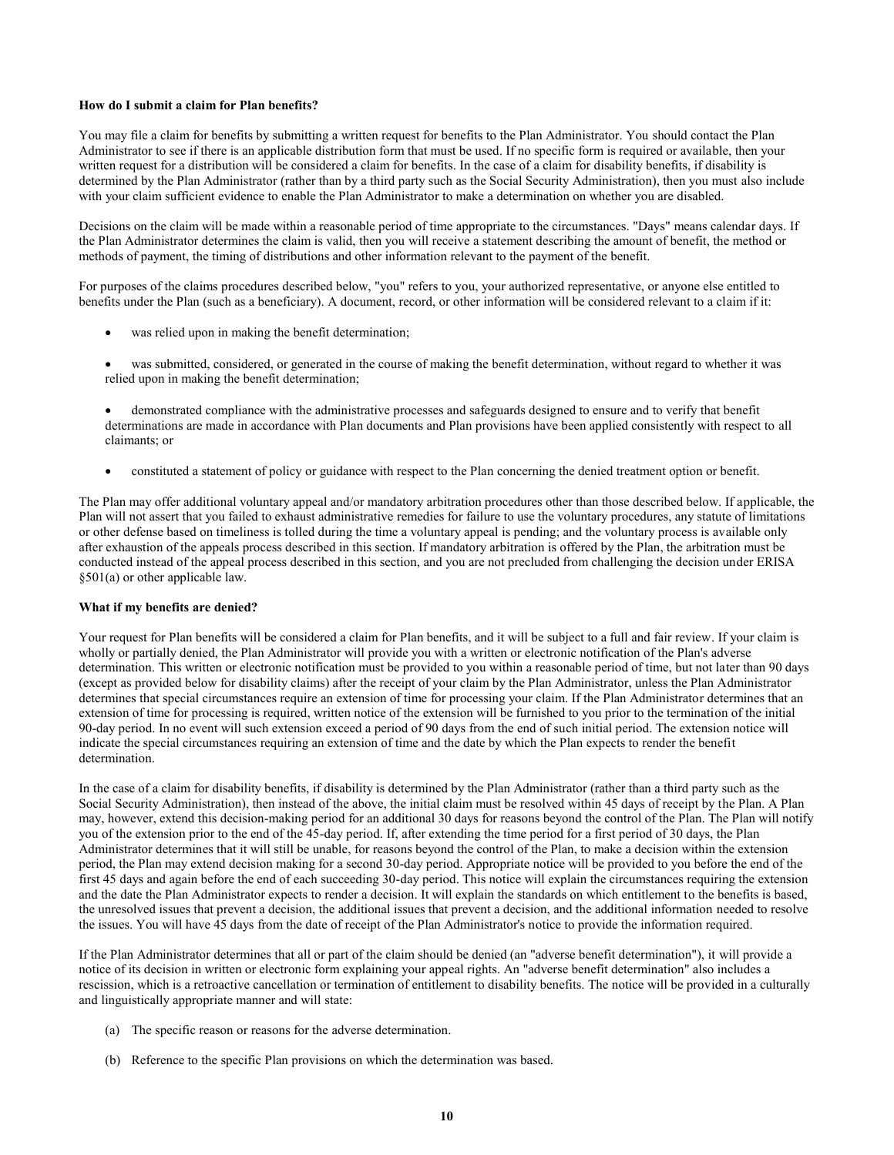#### **How do I submit a claim for Plan benefits?**

You may file a claim for benefits by submitting a written request for benefits to the Plan Administrator. You should contact the Plan Administrator to see if there is an applicable distribution form that must be used. If no specific form is required or available, then your written request for a distribution will be considered a claim for benefits. In the case of a claim for disability benefits, if disability is determined by the Plan Administrator (rather than by a third party such as the Social Security Administration), then you must also include with your claim sufficient evidence to enable the Plan Administrator to make a determination on whether you are disabled.

Decisions on the claim will be made within a reasonable period of time appropriate to the circumstances. "Days" means calendar days. If the Plan Administrator determines the claim is valid, then you will receive a statement describing the amount of benefit, the method or methods of payment, the timing of distributions and other information relevant to the payment of the benefit.

For purposes of the claims procedures described below, "you" refers to you, your authorized representative, or anyone else entitled to benefits under the Plan (such as a beneficiary). A document, record, or other information will be considered relevant to a claim if it:

- was relied upon in making the benefit determination;
- was submitted, considered, or generated in the course of making the benefit determination, without regard to whether it was relied upon in making the benefit determination;
- demonstrated compliance with the administrative processes and safeguards designed to ensure and to verify that benefit determinations are made in accordance with Plan documents and Plan provisions have been applied consistently with respect to all claimants; or
- constituted a statement of policy or guidance with respect to the Plan concerning the denied treatment option or benefit.

The Plan may offer additional voluntary appeal and/or mandatory arbitration procedures other than those described below. If applicable, the Plan will not assert that you failed to exhaust administrative remedies for failure to use the voluntary procedures, any statute of limitations or other defense based on timeliness is tolled during the time a voluntary appeal is pending; and the voluntary process is available only after exhaustion of the appeals process described in this section. If mandatory arbitration is offered by the Plan, the arbitration must be conducted instead of the appeal process described in this section, and you are not precluded from challenging the decision under ERISA §501(a) or other applicable law.

## **What if my benefits are denied?**

Your request for Plan benefits will be considered a claim for Plan benefits, and it will be subject to a full and fair review. If your claim is wholly or partially denied, the Plan Administrator will provide you with a written or electronic notification of the Plan's adverse determination. This written or electronic notification must be provided to you within a reasonable period of time, but not later than 90 days (except as provided below for disability claims) after the receipt of your claim by the Plan Administrator, unless the Plan Administrator determines that special circumstances require an extension of time for processing your claim. If the Plan Administrator determines that an extension of time for processing is required, written notice of the extension will be furnished to you prior to the termination of the initial 90-day period. In no event will such extension exceed a period of 90 days from the end of such initial period. The extension notice will indicate the special circumstances requiring an extension of time and the date by which the Plan expects to render the benefit determination.

In the case of a claim for disability benefits, if disability is determined by the Plan Administrator (rather than a third party such as the Social Security Administration), then instead of the above, the initial claim must be resolved within 45 days of receipt by the Plan. A Plan may, however, extend this decision-making period for an additional 30 days for reasons beyond the control of the Plan. The Plan will notify you of the extension prior to the end of the 45-day period. If, after extending the time period for a first period of 30 days, the Plan Administrator determines that it will still be unable, for reasons beyond the control of the Plan, to make a decision within the extension period, the Plan may extend decision making for a second 30-day period. Appropriate notice will be provided to you before the end of the first 45 days and again before the end of each succeeding 30-day period. This notice will explain the circumstances requiring the extension and the date the Plan Administrator expects to render a decision. It will explain the standards on which entitlement to the benefits is based, the unresolved issues that prevent a decision, the additional issues that prevent a decision, and the additional information needed to resolve the issues. You will have 45 days from the date of receipt of the Plan Administrator's notice to provide the information required.

If the Plan Administrator determines that all or part of the claim should be denied (an "adverse benefit determination"), it will provide a notice of its decision in written or electronic form explaining your appeal rights. An "adverse benefit determination" also includes a rescission, which is a retroactive cancellation or termination of entitlement to disability benefits. The notice will be provided in a culturally and linguistically appropriate manner and will state:

- (a) The specific reason or reasons for the adverse determination.
- (b) Reference to the specific Plan provisions on which the determination was based.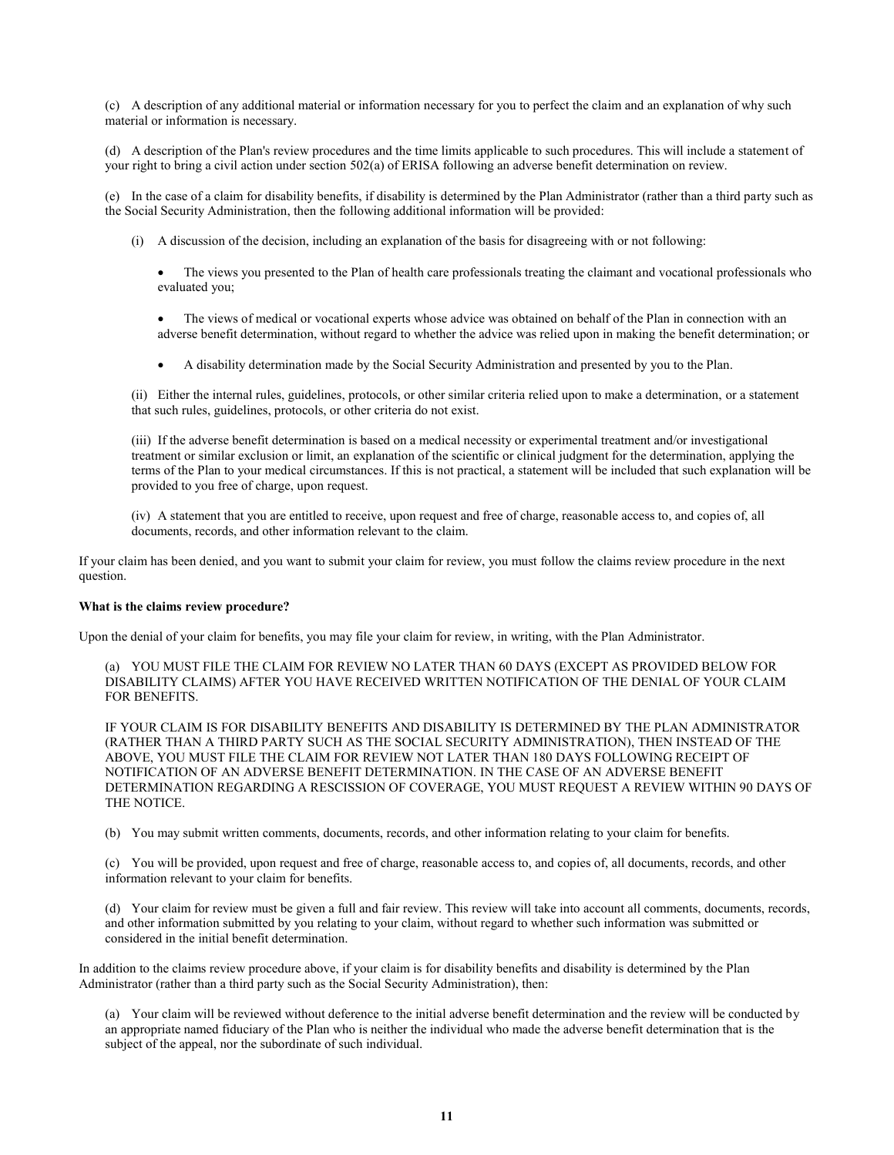(c) A description of any additional material or information necessary for you to perfect the claim and an explanation of why such material or information is necessary.

(d) A description of the Plan's review procedures and the time limits applicable to such procedures. This will include a statement of your right to bring a civil action under section 502(a) of ERISA following an adverse benefit determination on review.

(e) In the case of a claim for disability benefits, if disability is determined by the Plan Administrator (rather than a third party such as the Social Security Administration, then the following additional information will be provided:

- (i) A discussion of the decision, including an explanation of the basis for disagreeing with or not following:
	- The views you presented to the Plan of health care professionals treating the claimant and vocational professionals who evaluated you;
	- The views of medical or vocational experts whose advice was obtained on behalf of the Plan in connection with an adverse benefit determination, without regard to whether the advice was relied upon in making the benefit determination; or
	- A disability determination made by the Social Security Administration and presented by you to the Plan.

(ii) Either the internal rules, guidelines, protocols, or other similar criteria relied upon to make a determination, or a statement that such rules, guidelines, protocols, or other criteria do not exist.

(iii) If the adverse benefit determination is based on a medical necessity or experimental treatment and/or investigational treatment or similar exclusion or limit, an explanation of the scientific or clinical judgment for the determination, applying the terms of the Plan to your medical circumstances. If this is not practical, a statement will be included that such explanation will be provided to you free of charge, upon request.

(iv) A statement that you are entitled to receive, upon request and free of charge, reasonable access to, and copies of, all documents, records, and other information relevant to the claim.

If your claim has been denied, and you want to submit your claim for review, you must follow the claims review procedure in the next question.

#### **What is the claims review procedure?**

Upon the denial of your claim for benefits, you may file your claim for review, in writing, with the Plan Administrator.

(a) YOU MUST FILE THE CLAIM FOR REVIEW NO LATER THAN 60 DAYS (EXCEPT AS PROVIDED BELOW FOR DISABILITY CLAIMS) AFTER YOU HAVE RECEIVED WRITTEN NOTIFICATION OF THE DENIAL OF YOUR CLAIM FOR BENEFITS.

IF YOUR CLAIM IS FOR DISABILITY BENEFITS AND DISABILITY IS DETERMINED BY THE PLAN ADMINISTRATOR (RATHER THAN A THIRD PARTY SUCH AS THE SOCIAL SECURITY ADMINISTRATION), THEN INSTEAD OF THE ABOVE, YOU MUST FILE THE CLAIM FOR REVIEW NOT LATER THAN 180 DAYS FOLLOWING RECEIPT OF NOTIFICATION OF AN ADVERSE BENEFIT DETERMINATION. IN THE CASE OF AN ADVERSE BENEFIT DETERMINATION REGARDING A RESCISSION OF COVERAGE, YOU MUST REQUEST A REVIEW WITHIN 90 DAYS OF THE NOTICE.

(b) You may submit written comments, documents, records, and other information relating to your claim for benefits.

(c) You will be provided, upon request and free of charge, reasonable access to, and copies of, all documents, records, and other information relevant to your claim for benefits.

(d) Your claim for review must be given a full and fair review. This review will take into account all comments, documents, records, and other information submitted by you relating to your claim, without regard to whether such information was submitted or considered in the initial benefit determination.

In addition to the claims review procedure above, if your claim is for disability benefits and disability is determined by the Plan Administrator (rather than a third party such as the Social Security Administration), then:

(a) Your claim will be reviewed without deference to the initial adverse benefit determination and the review will be conducted by an appropriate named fiduciary of the Plan who is neither the individual who made the adverse benefit determination that is the subject of the appeal, nor the subordinate of such individual.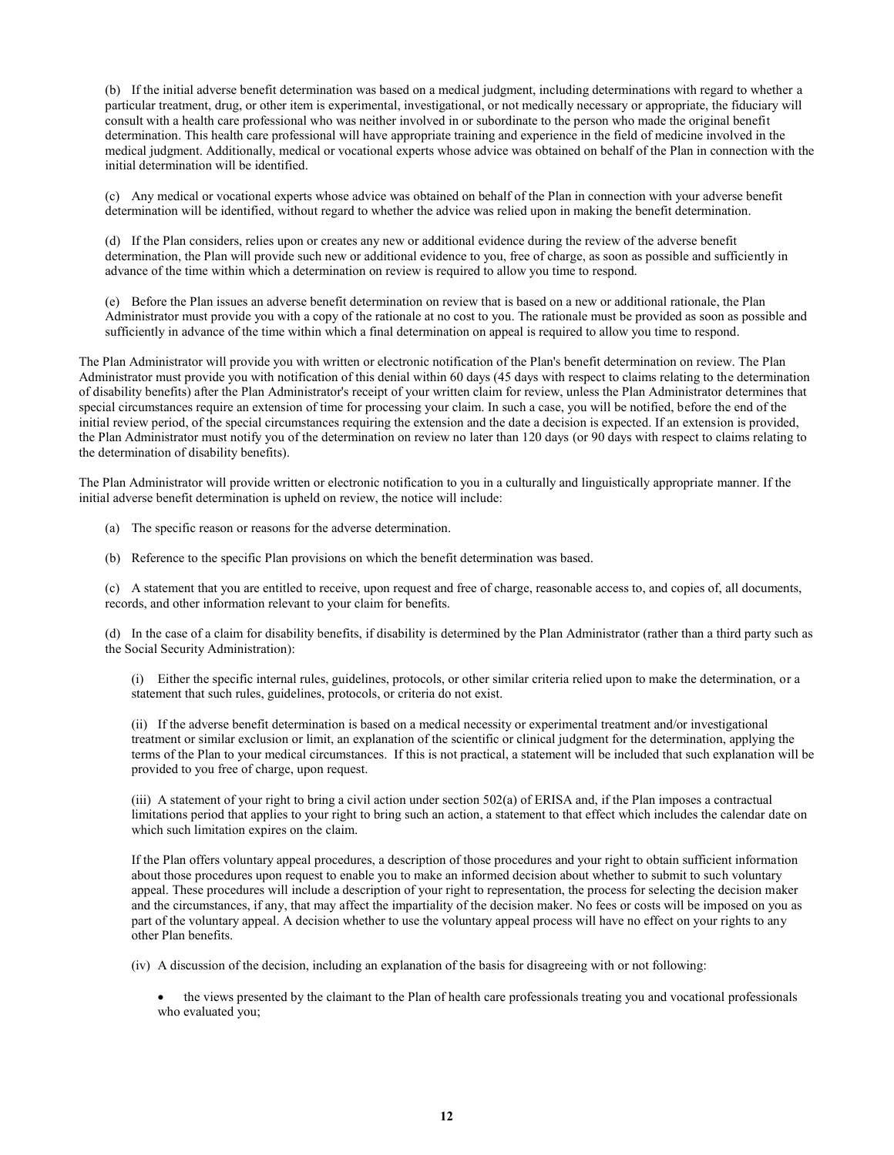(b) If the initial adverse benefit determination was based on a medical judgment, including determinations with regard to whether a particular treatment, drug, or other item is experimental, investigational, or not medically necessary or appropriate, the fiduciary will consult with a health care professional who was neither involved in or subordinate to the person who made the original benefit determination. This health care professional will have appropriate training and experience in the field of medicine involved in the medical judgment. Additionally, medical or vocational experts whose advice was obtained on behalf of the Plan in connection with the initial determination will be identified.

(c) Any medical or vocational experts whose advice was obtained on behalf of the Plan in connection with your adverse benefit determination will be identified, without regard to whether the advice was relied upon in making the benefit determination.

(d) If the Plan considers, relies upon or creates any new or additional evidence during the review of the adverse benefit determination, the Plan will provide such new or additional evidence to you, free of charge, as soon as possible and sufficiently in advance of the time within which a determination on review is required to allow you time to respond.

(e) Before the Plan issues an adverse benefit determination on review that is based on a new or additional rationale, the Plan Administrator must provide you with a copy of the rationale at no cost to you. The rationale must be provided as soon as possible and sufficiently in advance of the time within which a final determination on appeal is required to allow you time to respond.

The Plan Administrator will provide you with written or electronic notification of the Plan's benefit determination on review. The Plan Administrator must provide you with notification of this denial within 60 days (45 days with respect to claims relating to the determination of disability benefits) after the Plan Administrator's receipt of your written claim for review, unless the Plan Administrator determines that special circumstances require an extension of time for processing your claim. In such a case, you will be notified, before the end of the initial review period, of the special circumstances requiring the extension and the date a decision is expected. If an extension is provided, the Plan Administrator must notify you of the determination on review no later than 120 days (or 90 days with respect to claims relating to the determination of disability benefits).

The Plan Administrator will provide written or electronic notification to you in a culturally and linguistically appropriate manner. If the initial adverse benefit determination is upheld on review, the notice will include:

- (a) The specific reason or reasons for the adverse determination.
- (b) Reference to the specific Plan provisions on which the benefit determination was based.

(c) A statement that you are entitled to receive, upon request and free of charge, reasonable access to, and copies of, all documents, records, and other information relevant to your claim for benefits.

(d) In the case of a claim for disability benefits, if disability is determined by the Plan Administrator (rather than a third party such as the Social Security Administration):

(i) Either the specific internal rules, guidelines, protocols, or other similar criteria relied upon to make the determination, or a statement that such rules, guidelines, protocols, or criteria do not exist.

(ii) If the adverse benefit determination is based on a medical necessity or experimental treatment and/or investigational treatment or similar exclusion or limit, an explanation of the scientific or clinical judgment for the determination, applying the terms of the Plan to your medical circumstances. If this is not practical, a statement will be included that such explanation will be provided to you free of charge, upon request.

(iii) A statement of your right to bring a civil action under section 502(a) of ERISA and, if the Plan imposes a contractual limitations period that applies to your right to bring such an action, a statement to that effect which includes the calendar date on which such limitation expires on the claim.

If the Plan offers voluntary appeal procedures, a description of those procedures and your right to obtain sufficient information about those procedures upon request to enable you to make an informed decision about whether to submit to such voluntary appeal. These procedures will include a description of your right to representation, the process for selecting the decision maker and the circumstances, if any, that may affect the impartiality of the decision maker. No fees or costs will be imposed on you as part of the voluntary appeal. A decision whether to use the voluntary appeal process will have no effect on your rights to any other Plan benefits.

(iv) A discussion of the decision, including an explanation of the basis for disagreeing with or not following:

 the views presented by the claimant to the Plan of health care professionals treating you and vocational professionals who evaluated you;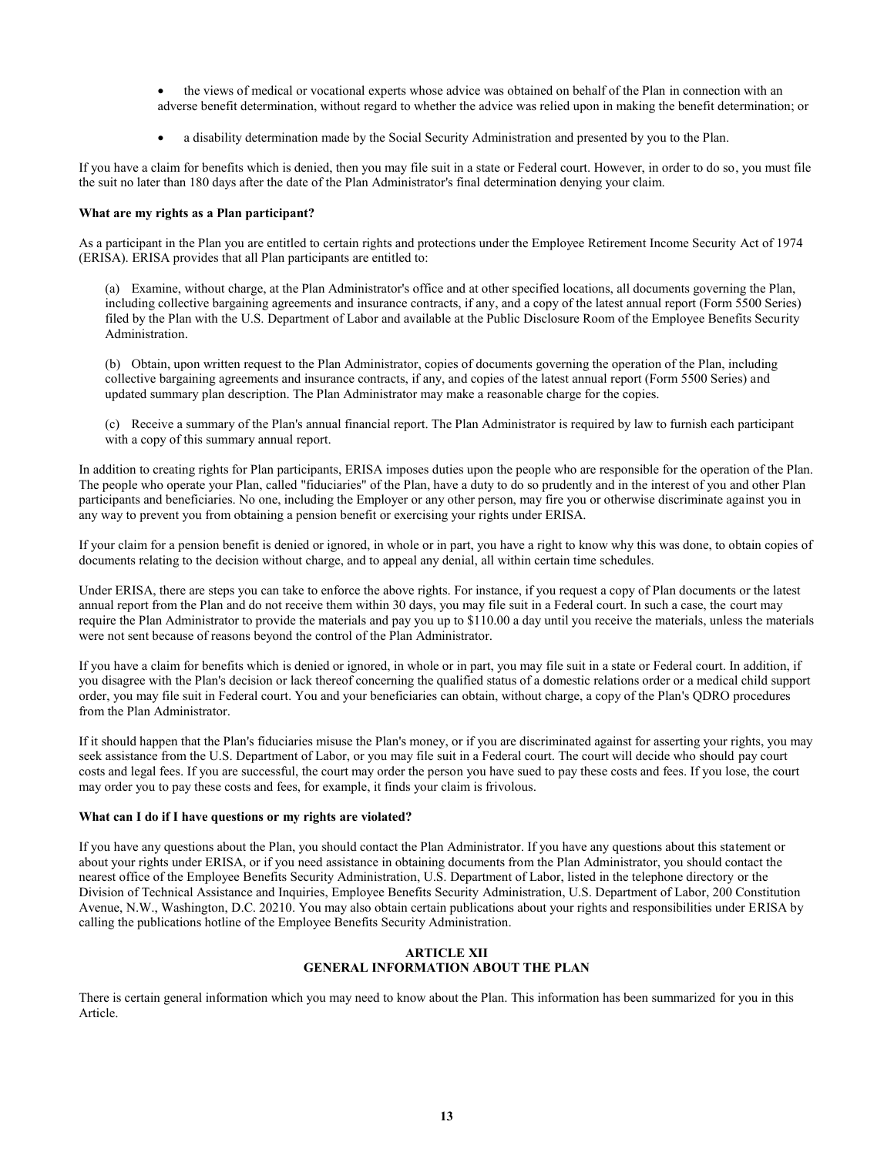- the views of medical or vocational experts whose advice was obtained on behalf of the Plan in connection with an adverse benefit determination, without regard to whether the advice was relied upon in making the benefit determination; or
- a disability determination made by the Social Security Administration and presented by you to the Plan.

If you have a claim for benefits which is denied, then you may file suit in a state or Federal court. However, in order to do so, you must file the suit no later than 180 days after the date of the Plan Administrator's final determination denying your claim.

### **What are my rights as a Plan participant?**

As a participant in the Plan you are entitled to certain rights and protections under the Employee Retirement Income Security Act of 1974 (ERISA). ERISA provides that all Plan participants are entitled to:

(a) Examine, without charge, at the Plan Administrator's office and at other specified locations, all documents governing the Plan, including collective bargaining agreements and insurance contracts, if any, and a copy of the latest annual report (Form 5500 Series) filed by the Plan with the U.S. Department of Labor and available at the Public Disclosure Room of the Employee Benefits Security Administration.

(b) Obtain, upon written request to the Plan Administrator, copies of documents governing the operation of the Plan, including collective bargaining agreements and insurance contracts, if any, and copies of the latest annual report (Form 5500 Series) and updated summary plan description. The Plan Administrator may make a reasonable charge for the copies.

(c) Receive a summary of the Plan's annual financial report. The Plan Administrator is required by law to furnish each participant with a copy of this summary annual report.

In addition to creating rights for Plan participants, ERISA imposes duties upon the people who are responsible for the operation of the Plan. The people who operate your Plan, called "fiduciaries" of the Plan, have a duty to do so prudently and in the interest of you and other Plan participants and beneficiaries. No one, including the Employer or any other person, may fire you or otherwise discriminate against you in any way to prevent you from obtaining a pension benefit or exercising your rights under ERISA.

If your claim for a pension benefit is denied or ignored, in whole or in part, you have a right to know why this was done, to obtain copies of documents relating to the decision without charge, and to appeal any denial, all within certain time schedules.

Under ERISA, there are steps you can take to enforce the above rights. For instance, if you request a copy of Plan documents or the latest annual report from the Plan and do not receive them within 30 days, you may file suit in a Federal court. In such a case, the court may require the Plan Administrator to provide the materials and pay you up to \$110.00 a day until you receive the materials, unless the materials were not sent because of reasons beyond the control of the Plan Administrator.

If you have a claim for benefits which is denied or ignored, in whole or in part, you may file suit in a state or Federal court. In addition, if you disagree with the Plan's decision or lack thereof concerning the qualified status of a domestic relations order or a medical child support order, you may file suit in Federal court. You and your beneficiaries can obtain, without charge, a copy of the Plan's QDRO procedures from the Plan Administrator.

If it should happen that the Plan's fiduciaries misuse the Plan's money, or if you are discriminated against for asserting your rights, you may seek assistance from the U.S. Department of Labor, or you may file suit in a Federal court. The court will decide who should pay court costs and legal fees. If you are successful, the court may order the person you have sued to pay these costs and fees. If you lose, the court may order you to pay these costs and fees, for example, it finds your claim is frivolous.

### **What can I do if I have questions or my rights are violated?**

If you have any questions about the Plan, you should contact the Plan Administrator. If you have any questions about this statement or about your rights under ERISA, or if you need assistance in obtaining documents from the Plan Administrator, you should contact the nearest office of the Employee Benefits Security Administration, U.S. Department of Labor, listed in the telephone directory or the Division of Technical Assistance and Inquiries, Employee Benefits Security Administration, U.S. Department of Labor, 200 Constitution Avenue, N.W., Washington, D.C. 20210. You may also obtain certain publications about your rights and responsibilities under ERISA by calling the publications hotline of the Employee Benefits Security Administration.

# **ARTICLE XII GENERAL INFORMATION ABOUT THE PLAN**

There is certain general information which you may need to know about the Plan. This information has been summarized for you in this Article.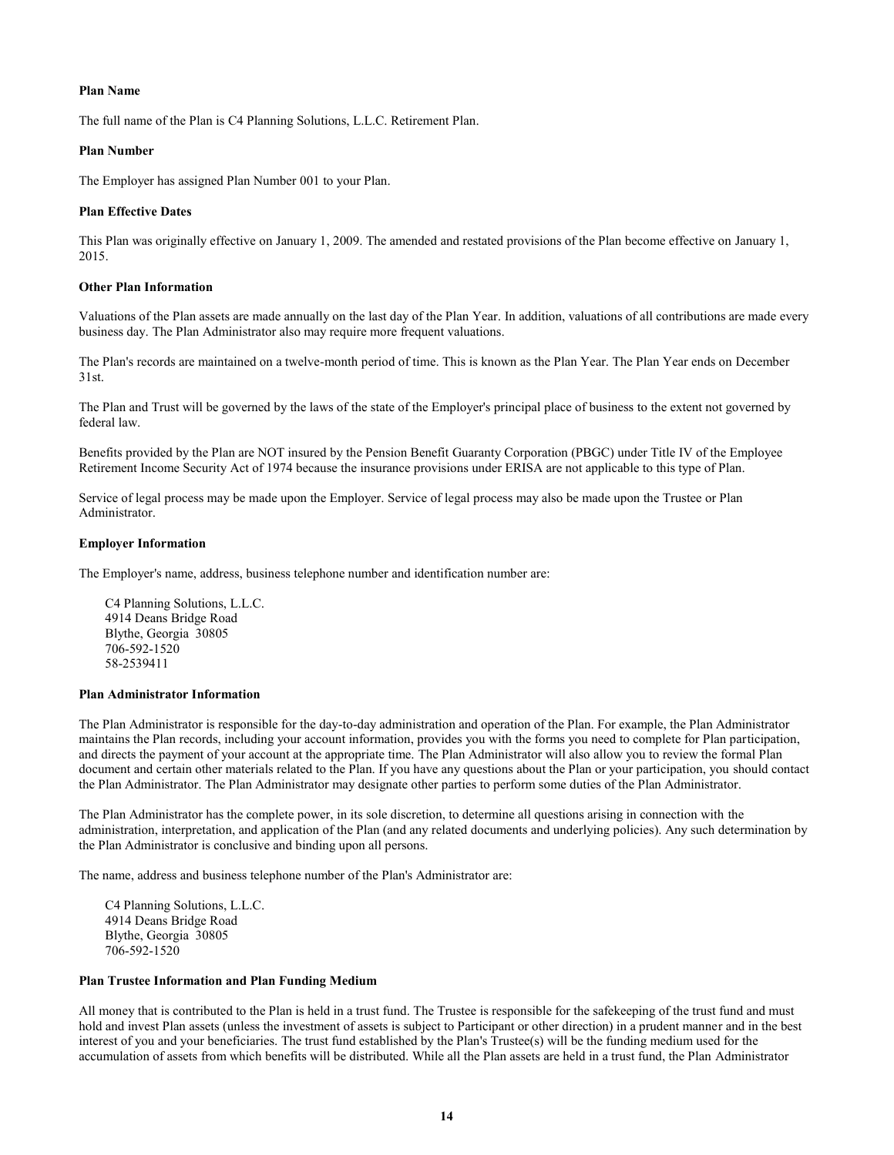## **Plan Name**

The full name of the Plan is C4 Planning Solutions, L.L.C. Retirement Plan.

## **Plan Number**

The Employer has assigned Plan Number 001 to your Plan.

# **Plan Effective Dates**

This Plan was originally effective on January 1, 2009. The amended and restated provisions of the Plan become effective on January 1, 2015.

# **Other Plan Information**

Valuations of the Plan assets are made annually on the last day of the Plan Year. In addition, valuations of all contributions are made every business day. The Plan Administrator also may require more frequent valuations.

The Plan's records are maintained on a twelve-month period of time. This is known as the Plan Year. The Plan Year ends on December 31st.

The Plan and Trust will be governed by the laws of the state of the Employer's principal place of business to the extent not governed by federal law.

Benefits provided by the Plan are NOT insured by the Pension Benefit Guaranty Corporation (PBGC) under Title IV of the Employee Retirement Income Security Act of 1974 because the insurance provisions under ERISA are not applicable to this type of Plan.

Service of legal process may be made upon the Employer. Service of legal process may also be made upon the Trustee or Plan Administrator.

# **Employer Information**

The Employer's name, address, business telephone number and identification number are:

C4 Planning Solutions, L.L.C. 4914 Deans Bridge Road Blythe, Georgia 30805 706-592-1520 58-2539411

### **Plan Administrator Information**

The Plan Administrator is responsible for the day-to-day administration and operation of the Plan. For example, the Plan Administrator maintains the Plan records, including your account information, provides you with the forms you need to complete for Plan participation, and directs the payment of your account at the appropriate time. The Plan Administrator will also allow you to review the formal Plan document and certain other materials related to the Plan. If you have any questions about the Plan or your participation, you should contact the Plan Administrator. The Plan Administrator may designate other parties to perform some duties of the Plan Administrator.

The Plan Administrator has the complete power, in its sole discretion, to determine all questions arising in connection with the administration, interpretation, and application of the Plan (and any related documents and underlying policies). Any such determination by the Plan Administrator is conclusive and binding upon all persons.

The name, address and business telephone number of the Plan's Administrator are:

C4 Planning Solutions, L.L.C. 4914 Deans Bridge Road Blythe, Georgia 30805 706-592-1520

### **Plan Trustee Information and Plan Funding Medium**

All money that is contributed to the Plan is held in a trust fund. The Trustee is responsible for the safekeeping of the trust fund and must hold and invest Plan assets (unless the investment of assets is subject to Participant or other direction) in a prudent manner and in the best interest of you and your beneficiaries. The trust fund established by the Plan's Trustee(s) will be the funding medium used for the accumulation of assets from which benefits will be distributed. While all the Plan assets are held in a trust fund, the Plan Administrator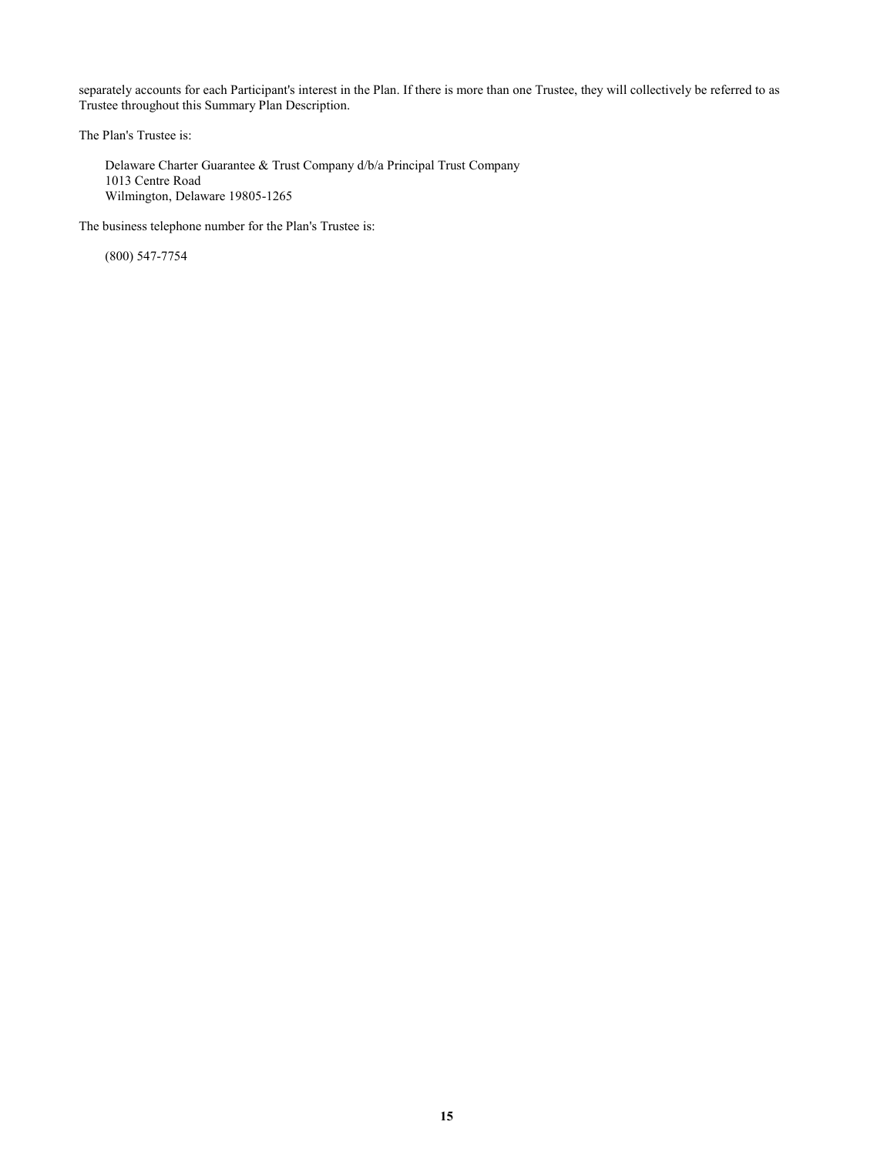separately accounts for each Participant's interest in the Plan. If there is more than one Trustee, they will collectively be referred to as Trustee throughout this Summary Plan Description.

The Plan's Trustee is:

Delaware Charter Guarantee & Trust Company d/b/a Principal Trust Company 1013 Centre Road Wilmington, Delaware 19805-1265

The business telephone number for the Plan's Trustee is:

(800) 547-7754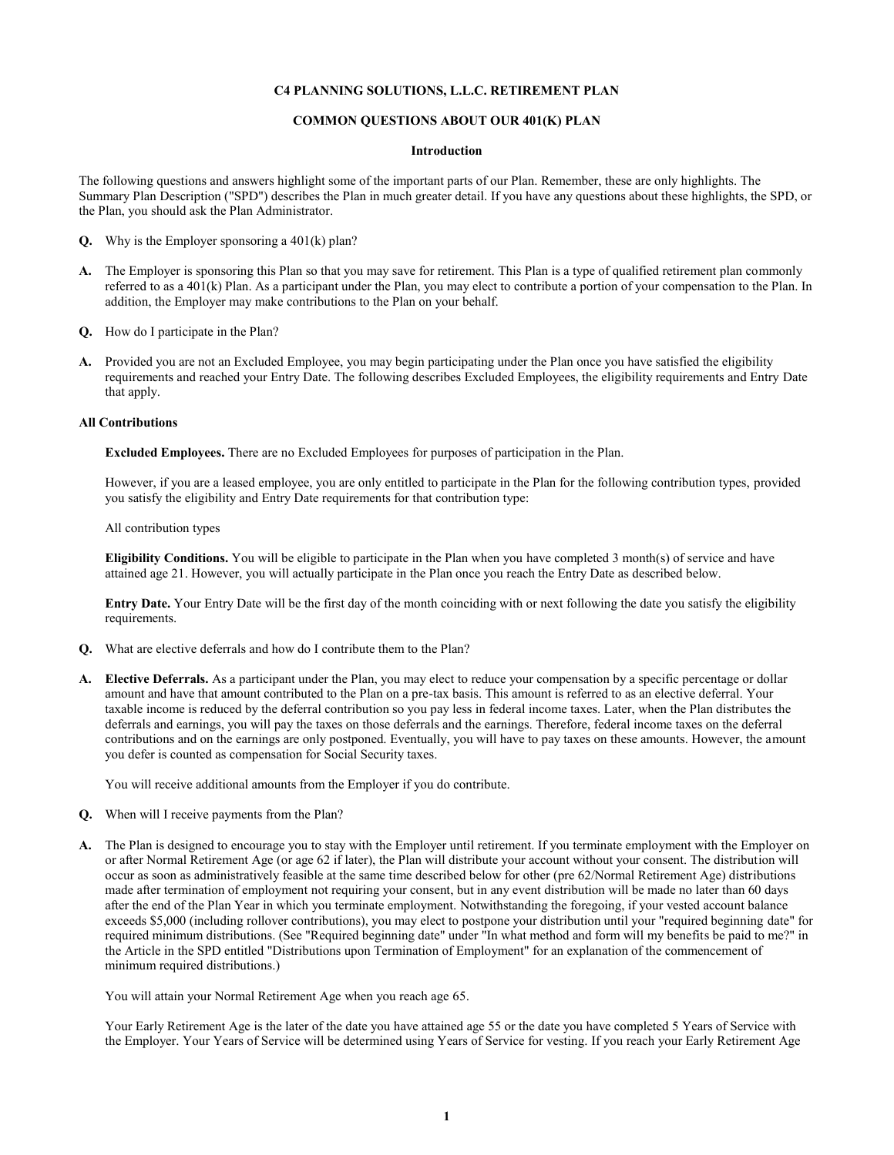## **C4 PLANNING SOLUTIONS, L.L.C. RETIREMENT PLAN**

## **COMMON QUESTIONS ABOUT OUR 401(K) PLAN**

#### **Introduction**

The following questions and answers highlight some of the important parts of our Plan. Remember, these are only highlights. The Summary Plan Description ("SPD") describes the Plan in much greater detail. If you have any questions about these highlights, the SPD, or the Plan, you should ask the Plan Administrator.

- **Q.** Why is the Employer sponsoring a 401(k) plan?
- **A.** The Employer is sponsoring this Plan so that you may save for retirement. This Plan is a type of qualified retirement plan commonly referred to as a 401(k) Plan. As a participant under the Plan, you may elect to contribute a portion of your compensation to the Plan. In addition, the Employer may make contributions to the Plan on your behalf.
- **Q.** How do I participate in the Plan?
- **A.** Provided you are not an Excluded Employee, you may begin participating under the Plan once you have satisfied the eligibility requirements and reached your Entry Date. The following describes Excluded Employees, the eligibility requirements and Entry Date that apply.

#### **All Contributions**

**Excluded Employees.** There are no Excluded Employees for purposes of participation in the Plan.

However, if you are a leased employee, you are only entitled to participate in the Plan for the following contribution types, provided you satisfy the eligibility and Entry Date requirements for that contribution type:

All contribution types

**Eligibility Conditions.** You will be eligible to participate in the Plan when you have completed 3 month(s) of service and have attained age 21. However, you will actually participate in the Plan once you reach the Entry Date as described below.

**Entry Date.** Your Entry Date will be the first day of the month coinciding with or next following the date you satisfy the eligibility requirements.

- **Q.** What are elective deferrals and how do I contribute them to the Plan?
- **A. Elective Deferrals.** As a participant under the Plan, you may elect to reduce your compensation by a specific percentage or dollar amount and have that amount contributed to the Plan on a pre-tax basis. This amount is referred to as an elective deferral. Your taxable income is reduced by the deferral contribution so you pay less in federal income taxes. Later, when the Plan distributes the deferrals and earnings, you will pay the taxes on those deferrals and the earnings. Therefore, federal income taxes on the deferral contributions and on the earnings are only postponed. Eventually, you will have to pay taxes on these amounts. However, the amount you defer is counted as compensation for Social Security taxes.

You will receive additional amounts from the Employer if you do contribute.

- **Q.** When will I receive payments from the Plan?
- **A.** The Plan is designed to encourage you to stay with the Employer until retirement. If you terminate employment with the Employer on or after Normal Retirement Age (or age 62 if later), the Plan will distribute your account without your consent. The distribution will occur as soon as administratively feasible at the same time described below for other (pre 62/Normal Retirement Age) distributions made after termination of employment not requiring your consent, but in any event distribution will be made no later than 60 days after the end of the Plan Year in which you terminate employment. Notwithstanding the foregoing, if your vested account balance exceeds \$5,000 (including rollover contributions), you may elect to postpone your distribution until your "required beginning date" for required minimum distributions. (See "Required beginning date" under "In what method and form will my benefits be paid to me?" in the Article in the SPD entitled "Distributions upon Termination of Employment" for an explanation of the commencement of minimum required distributions.)

You will attain your Normal Retirement Age when you reach age 65.

Your Early Retirement Age is the later of the date you have attained age 55 or the date you have completed 5 Years of Service with the Employer. Your Years of Service will be determined using Years of Service for vesting. If you reach your Early Retirement Age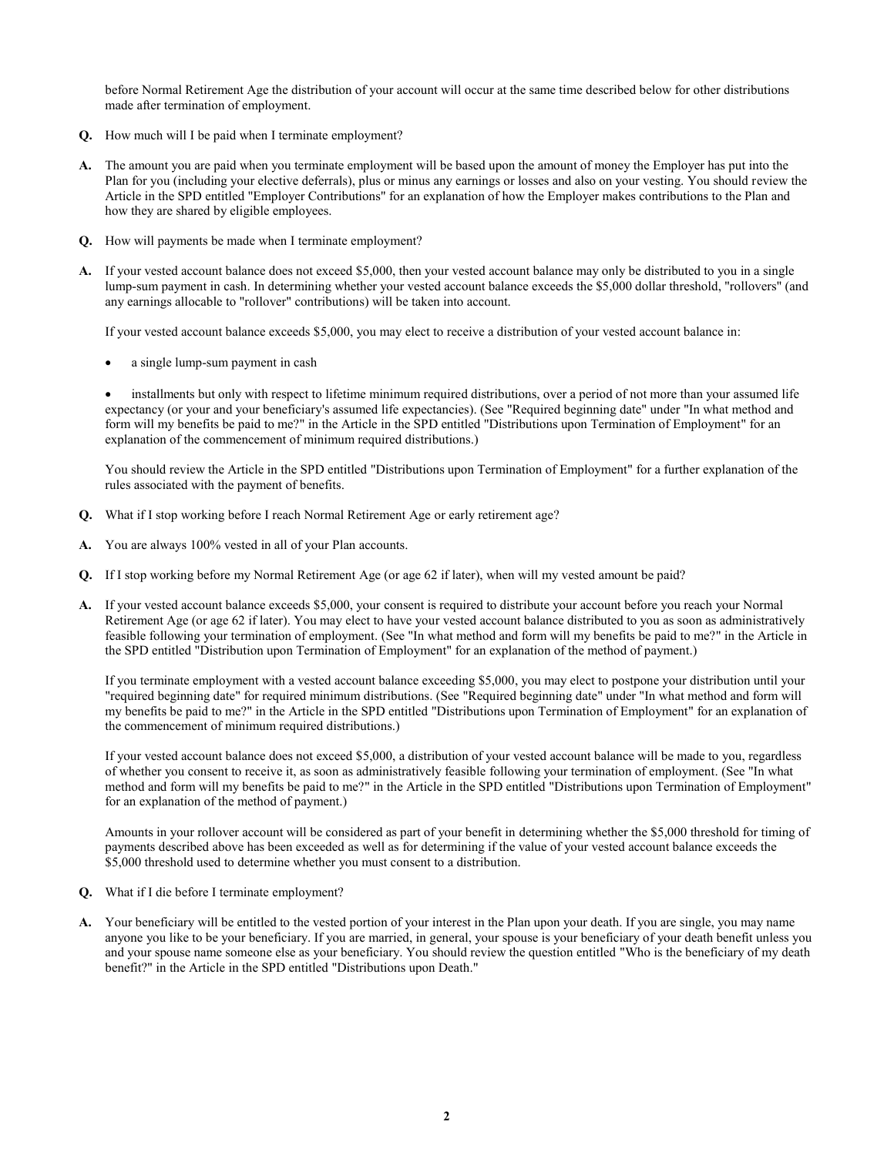before Normal Retirement Age the distribution of your account will occur at the same time described below for other distributions made after termination of employment.

- **Q.** How much will I be paid when I terminate employment?
- **A.** The amount you are paid when you terminate employment will be based upon the amount of money the Employer has put into the Plan for you (including your elective deferrals), plus or minus any earnings or losses and also on your vesting. You should review the Article in the SPD entitled "Employer Contributions" for an explanation of how the Employer makes contributions to the Plan and how they are shared by eligible employees.
- **Q.** How will payments be made when I terminate employment?
- **A.** If your vested account balance does not exceed \$5,000, then your vested account balance may only be distributed to you in a single lump-sum payment in cash. In determining whether your vested account balance exceeds the \$5,000 dollar threshold, "rollovers" (and any earnings allocable to "rollover" contributions) will be taken into account.

If your vested account balance exceeds \$5,000, you may elect to receive a distribution of your vested account balance in:

a single lump-sum payment in cash

 installments but only with respect to lifetime minimum required distributions, over a period of not more than your assumed life expectancy (or your and your beneficiary's assumed life expectancies). (See "Required beginning date" under "In what method and form will my benefits be paid to me?" in the Article in the SPD entitled "Distributions upon Termination of Employment" for an explanation of the commencement of minimum required distributions.)

You should review the Article in the SPD entitled "Distributions upon Termination of Employment" for a further explanation of the rules associated with the payment of benefits.

- **Q.** What if I stop working before I reach Normal Retirement Age or early retirement age?
- **A.** You are always 100% vested in all of your Plan accounts.
- **Q.** If I stop working before my Normal Retirement Age (or age 62 if later), when will my vested amount be paid?
- **A.** If your vested account balance exceeds \$5,000, your consent is required to distribute your account before you reach your Normal Retirement Age (or age 62 if later). You may elect to have your vested account balance distributed to you as soon as administratively feasible following your termination of employment. (See "In what method and form will my benefits be paid to me?" in the Article in the SPD entitled "Distribution upon Termination of Employment" for an explanation of the method of payment.)

If you terminate employment with a vested account balance exceeding \$5,000, you may elect to postpone your distribution until your "required beginning date" for required minimum distributions. (See "Required beginning date" under "In what method and form will my benefits be paid to me?" in the Article in the SPD entitled "Distributions upon Termination of Employment" for an explanation of the commencement of minimum required distributions.)

If your vested account balance does not exceed \$5,000, a distribution of your vested account balance will be made to you, regardless of whether you consent to receive it, as soon as administratively feasible following your termination of employment. (See "In what method and form will my benefits be paid to me?" in the Article in the SPD entitled "Distributions upon Termination of Employment" for an explanation of the method of payment.)

Amounts in your rollover account will be considered as part of your benefit in determining whether the \$5,000 threshold for timing of payments described above has been exceeded as well as for determining if the value of your vested account balance exceeds the \$5,000 threshold used to determine whether you must consent to a distribution.

- **Q.** What if I die before I terminate employment?
- **A.** Your beneficiary will be entitled to the vested portion of your interest in the Plan upon your death. If you are single, you may name anyone you like to be your beneficiary. If you are married, in general, your spouse is your beneficiary of your death benefit unless you and your spouse name someone else as your beneficiary. You should review the question entitled "Who is the beneficiary of my death benefit?" in the Article in the SPD entitled "Distributions upon Death."